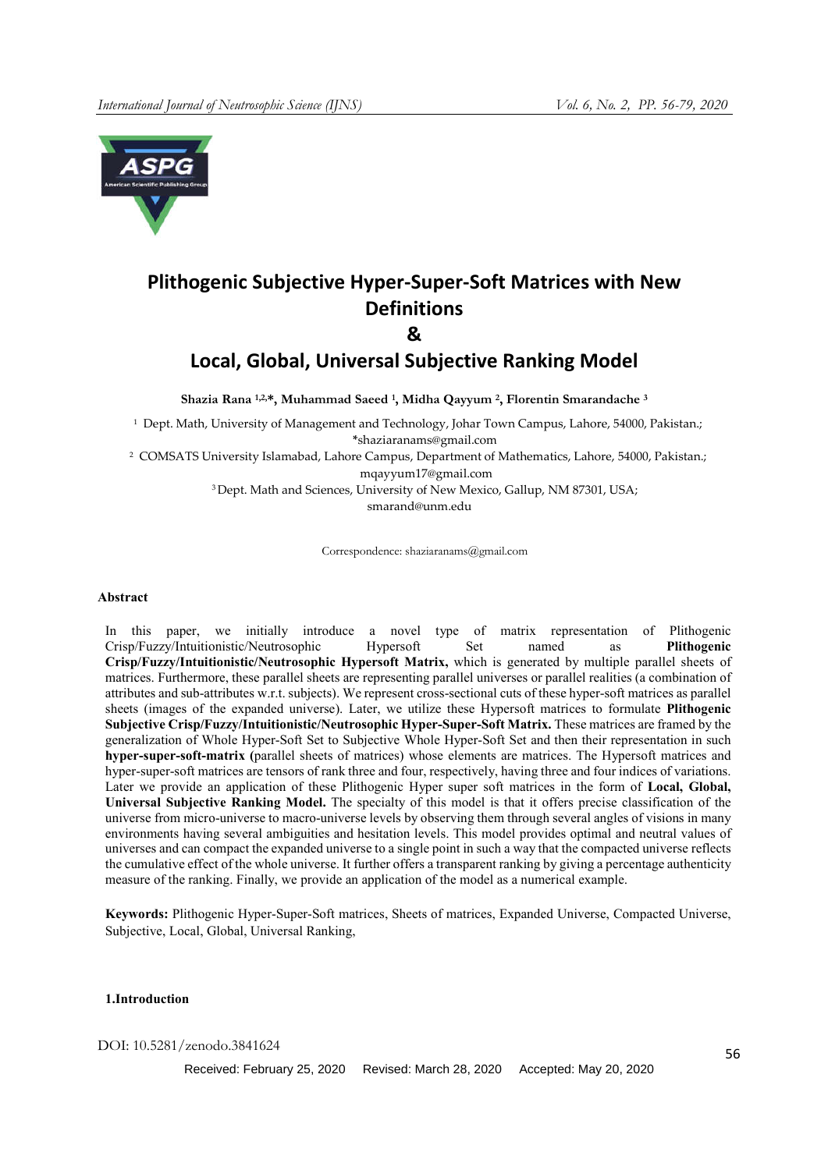

# **Plithogenic Subjective Hyper-Super-Soft Matrices with New Definitions**

**&**

# **Local, Global, Universal Subjective Ranking Model**

Shazia Rana 1,2,\*, Muhammad Saeed 1, Midha Qayyum <sup>2</sup>, Florentin Smarandache <sup>3</sup>

<sup>1</sup> Dept. Math, University of Management and Technology, Johar Town Campus, Lahore, 54000, Pakistan.; \*shaziaranams@gmail.com

2 COMSATS University Islamabad, Lahore Campus, Department of Mathematics, Lahore, 54000, Pakistan.; mqayyum17@gmail.com

<sup>3</sup> Dept. Math and Sciences, University of New Mexico, Gallup, NM 87301, USA;

smarand@unm.edu

Correspondence: shaziaranams@gmail.com

# Abstract

In this paper, we initially introduce a novel type of matrix representation of Plithogenic Crisp/Fuzzy/Intuitionistic/Neutrosophic Hypersoft Set named as Plithogenic Crisp/Fuzzy/Intuitionistic/Neutrosophic Hypersoft Matrix, which is generated by multiple parallel sheets of matrices. Furthermore, these parallel sheets are representing parallel universes or parallel realities (a combination of attributes and sub-attributes w.r.t. subjects). We represent cross-sectional cuts of these hyper-soft matrices as parallel sheets (images of the expanded universe). Later, we utilize these Hypersoft matrices to formulate Plithogenic Subjective Crisp/Fuzzy/Intuitionistic/Neutrosophic Hyper-Super-Soft Matrix. These matrices are framed by the generalization of Whole Hyper-Soft Set to Subjective Whole Hyper-Soft Set and then their representation in such hyper-super-soft-matrix (parallel sheets of matrices) whose elements are matrices. The Hypersoft matrices and hyper-super-soft matrices are tensors of rank three and four, respectively, having three and four indices of variations. Later we provide an application of these Plithogenic Hyper super soft matrices in the form of Local, Global, Universal Subjective Ranking Model. The specialty of this model is that it offers precise classification of the universe from micro-universe to macro-universe levels by observing them through several angles of visions in many environments having several ambiguities and hesitation levels. This model provides optimal and neutral values of universes and can compact the expanded universe to a single point in such a way that the compacted universe reflects the cumulative effect of the whole universe. It further offers a transparent ranking by giving a percentage authenticity measure of the ranking. Finally, we provide an application of the model as a numerical example.

Keywords: Plithogenic Hyper-Super-Soft matrices, Sheets of matrices, Expanded Universe, Compacted Universe, Subjective, Local, Global, Universal Ranking,

# 1.Introduction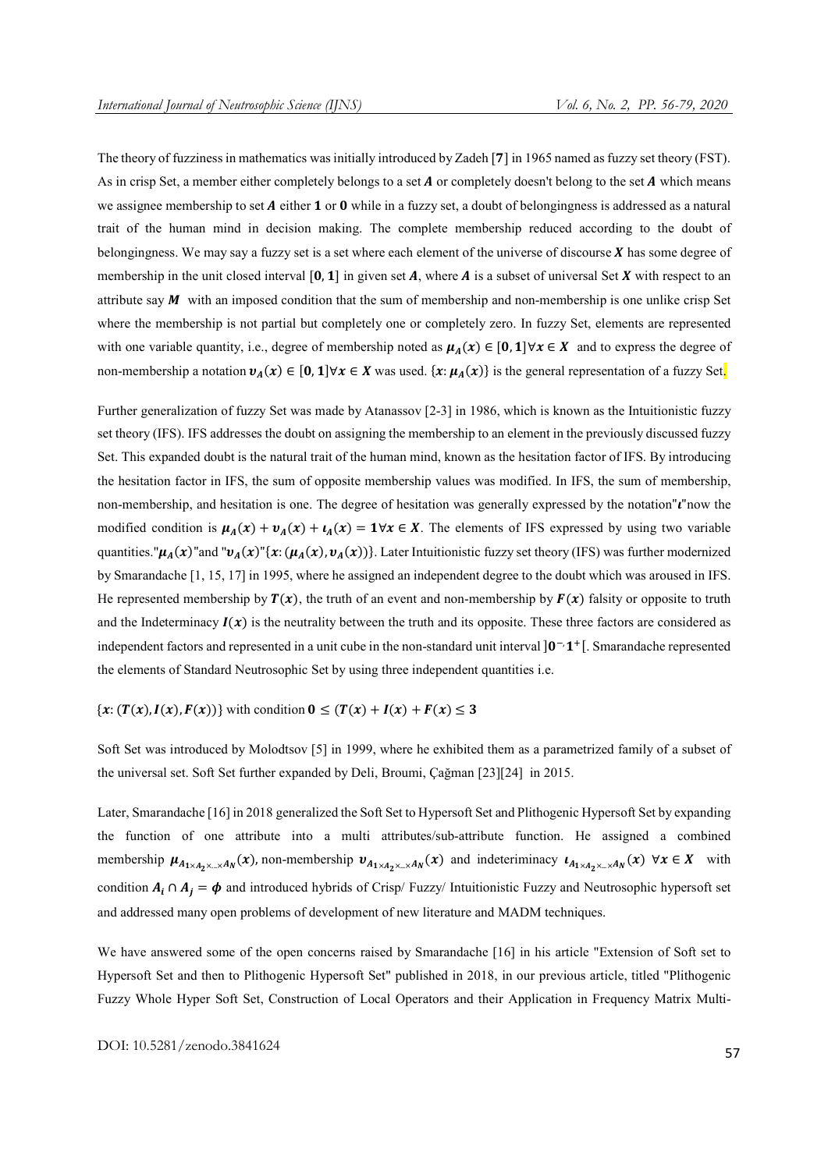The theory of fuzziness in mathematics was initially introduced by Zadeh [7] in 1965 named as fuzzy set theory (FST). As in crisp Set, a member either completely belongs to a set  $\bm{A}$  or completely doesn't belong to the set  $\bm{A}$  which means we assignee membership to set A either 1 or 0 while in a fuzzy set, a doubt of belongingness is addressed as a natural trait of the human mind in decision making. The complete membership reduced according to the doubt of belongingness. We may say a fuzzy set is a set where each element of the universe of discourse  $X$  has some degree of membership in the unit closed interval  $[0, 1]$  in given set A, where A is a subset of universal Set X with respect to an attribute say  $M$  with an imposed condition that the sum of membership and non-membership is one unlike crisp Set where the membership is not partial but completely one or completely zero. In fuzzy Set, elements are represented with one variable quantity, i.e., degree of membership noted as  $\mu_A(x) \in [0, 1] \forall x \in X$  and to express the degree of non-membership a notation  $v_A(x) \in [0, 1] \forall x \in X$  was used.  $\{x: \mu_A(x)\}$  is the general representation of a fuzzy Set.

Further generalization of fuzzy Set was made by Atanassov [2-3] in 1986, which is known as the Intuitionistic fuzzy set theory (IFS). IFS addresses the doubt on assigning the membership to an element in the previously discussed fuzzy Set. This expanded doubt is the natural trait of the human mind, known as the hesitation factor of IFS. By introducing the hesitation factor in IFS, the sum of opposite membership values was modified. In IFS, the sum of membership, non-membership, and hesitation is one. The degree of hesitation was generally expressed by the notation" $\mathbf{u}$ "now the modified condition is  $\mu_A(x) + \nu_A(x) + \mu_A(x) = 1 \forall x \in X$ . The elements of IFS expressed by using two variable quantities." $\mu_A(x)$ "and " $\nu_A(x)$ "{ $x: (\mu_A(x), \nu_A(x))$ }. Later Intuitionistic fuzzy set theory (IFS) was further modernized by Smarandache [1, 15, 17] in 1995, where he assigned an independent degree to the doubt which was aroused in IFS. He represented membership by  $T(x)$ , the truth of an event and non-membership by  $F(x)$  falsity or opposite to truth and the Indeterminacy  $I(x)$  is the neutrality between the truth and its opposite. These three factors are considered as independent factors and represented in a unit cube in the non-standard unit interval  $]0^-1^+[$ . Smarandache represented the elements of Standard Neutrosophic Set by using three independent quantities i.e.

# ${x: (T(x), I(x), F(x))}$  with condition  $0 \le (T(x) + I(x) + F(x)) \le 3$

Soft Set was introduced by Molodtsov [5] in 1999, where he exhibited them as a parametrized family of a subset of the universal set. Soft Set further expanded by Deli, Broumi, Çağman [23][24] in 2015.

Later, Smarandache [16] in 2018 generalized the Soft Set to Hypersoft Set and Plithogenic Hypersoft Set by expanding the function of one attribute into a multi attributes/sub-attribute function. He assigned a combined membership  $\mu_{A_{1\times A_{2}\times \ldots \times A_{N}}(x)$ , non-membership  $v_{A_{1\times A_{2}\times \ldots \times A_{N}}(x)}$  and indeteriminacy  $\iota_{A_{1\times A_{2}\times \ldots \times A_{N}}(x)} \forall x \in X$  with condition  $A_i \cap A_j = \phi$  and introduced hybrids of Crisp/ Fuzzy/ Intuitionistic Fuzzy and Neutrosophic hypersoft set and addressed many open problems of development of new literature and MADM techniques.

We have answered some of the open concerns raised by Smarandache [16] in his article "Extension of Soft set to Hypersoft Set and then to Plithogenic Hypersoft Set" published in 2018, in our previous article, titled "Plithogenic Fuzzy Whole Hyper Soft Set, Construction of Local Operators and their Application in Frequency Matrix Multi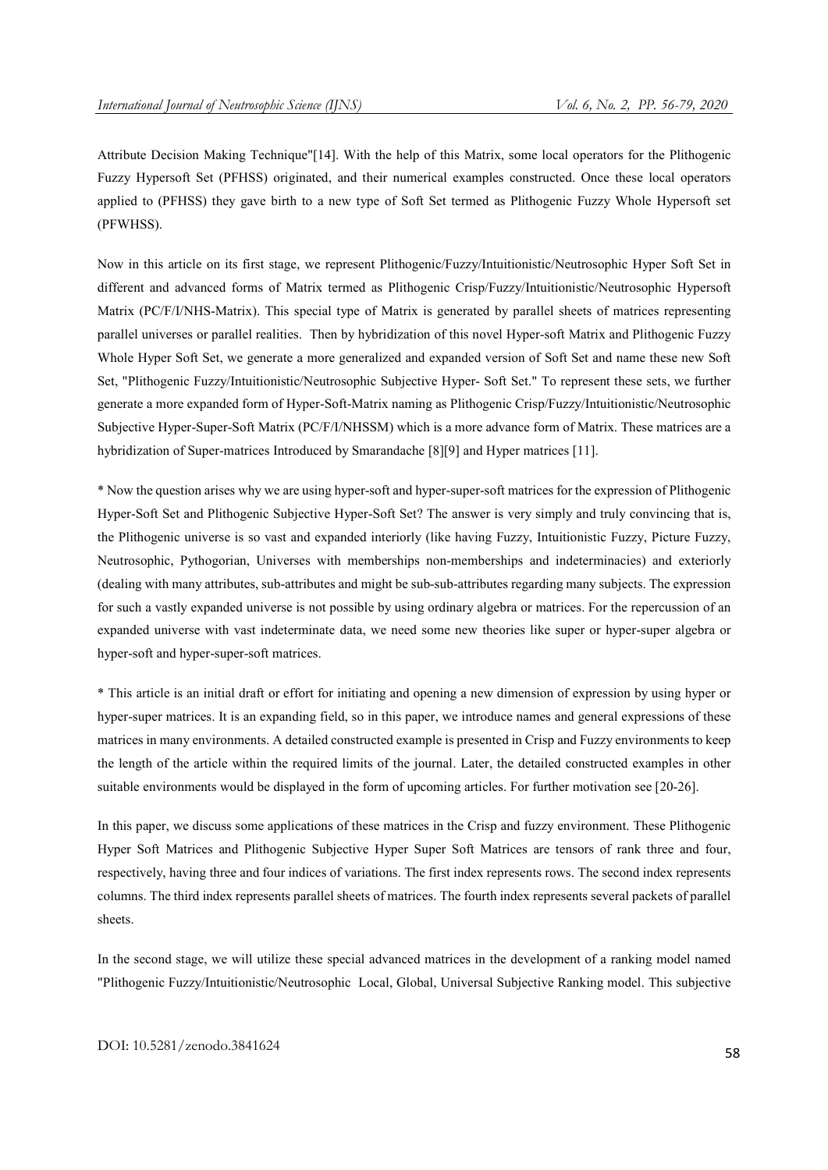Attribute Decision Making Technique"[14]. With the help of this Matrix, some local operators for the Plithogenic Fuzzy Hypersoft Set (PFHSS) originated, and their numerical examples constructed. Once these local operators applied to (PFHSS) they gave birth to a new type of Soft Set termed as Plithogenic Fuzzy Whole Hypersoft set (PFWHSS).

Now in this article on its first stage, we represent Plithogenic/Fuzzy/Intuitionistic/Neutrosophic Hyper Soft Set in different and advanced forms of Matrix termed as Plithogenic Crisp/Fuzzy/Intuitionistic/Neutrosophic Hypersoft Matrix (PC/F/I/NHS-Matrix). This special type of Matrix is generated by parallel sheets of matrices representing parallel universes or parallel realities. Then by hybridization of this novel Hyper-soft Matrix and Plithogenic Fuzzy Whole Hyper Soft Set, we generate a more generalized and expanded version of Soft Set and name these new Soft Set, "Plithogenic Fuzzy/Intuitionistic/Neutrosophic Subjective Hyper- Soft Set." To represent these sets, we further generate a more expanded form of Hyper-Soft-Matrix naming as Plithogenic Crisp/Fuzzy/Intuitionistic/Neutrosophic Subjective Hyper-Super-Soft Matrix (PC/F/I/NHSSM) which is a more advance form of Matrix. These matrices are a hybridization of Super-matrices Introduced by Smarandache [8][9] and Hyper matrices [11].

\* Now the question arises why we are using hyper-soft and hyper-super-soft matrices for the expression of Plithogenic Hyper-Soft Set and Plithogenic Subjective Hyper-Soft Set? The answer is very simply and truly convincing that is, the Plithogenic universe is so vast and expanded interiorly (like having Fuzzy, Intuitionistic Fuzzy, Picture Fuzzy, Neutrosophic, Pythogorian, Universes with memberships non-memberships and indeterminacies) and exteriorly (dealing with many attributes, sub-attributes and might be sub-sub-attributes regarding many subjects. The expression for such a vastly expanded universe is not possible by using ordinary algebra or matrices. For the repercussion of an expanded universe with vast indeterminate data, we need some new theories like super or hyper-super algebra or hyper-soft and hyper-super-soft matrices.

\* This article is an initial draft or effort for initiating and opening a new dimension of expression by using hyper or hyper-super matrices. It is an expanding field, so in this paper, we introduce names and general expressions of these matrices in many environments. A detailed constructed example is presented in Crisp and Fuzzy environments to keep the length of the article within the required limits of the journal. Later, the detailed constructed examples in other suitable environments would be displayed in the form of upcoming articles. For further motivation see [20-26].

In this paper, we discuss some applications of these matrices in the Crisp and fuzzy environment. These Plithogenic Hyper Soft Matrices and Plithogenic Subjective Hyper Super Soft Matrices are tensors of rank three and four, respectively, having three and four indices of variations. The first index represents rows. The second index represents columns. The third index represents parallel sheets of matrices. The fourth index represents several packets of parallel sheets.

In the second stage, we will utilize these special advanced matrices in the development of a ranking model named "Plithogenic Fuzzy/Intuitionistic/Neutrosophic Local, Global, Universal Subjective Ranking model. This subjective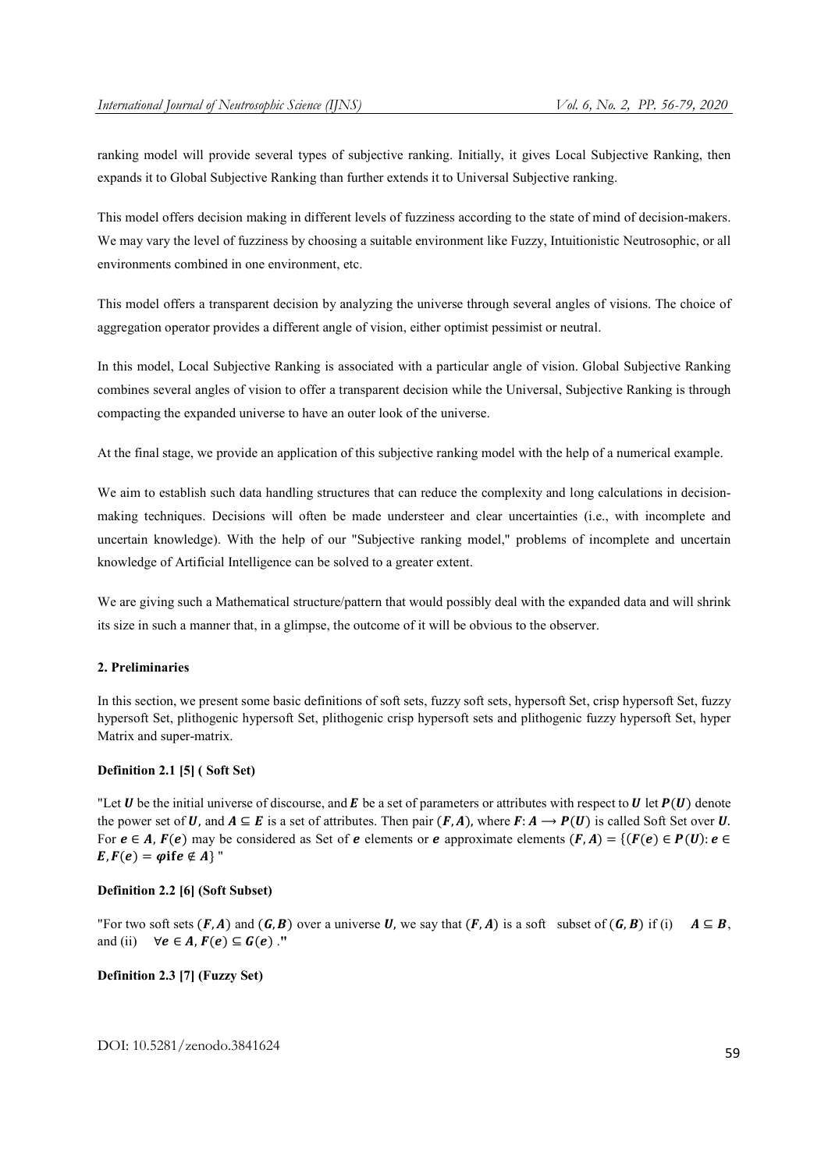ranking model will provide several types of subjective ranking. Initially, it gives Local Subjective Ranking, then expands it to Global Subjective Ranking than further extends it to Universal Subjective ranking.

This model offers decision making in different levels of fuzziness according to the state of mind of decision-makers. We may vary the level of fuzziness by choosing a suitable environment like Fuzzy, Intuitionistic Neutrosophic, or all environments combined in one environment, etc.

This model offers a transparent decision by analyzing the universe through several angles of visions. The choice of aggregation operator provides a different angle of vision, either optimist pessimist or neutral.

In this model, Local Subjective Ranking is associated with a particular angle of vision. Global Subjective Ranking combines several angles of vision to offer a transparent decision while the Universal, Subjective Ranking is through compacting the expanded universe to have an outer look of the universe.

At the final stage, we provide an application of this subjective ranking model with the help of a numerical example.

We aim to establish such data handling structures that can reduce the complexity and long calculations in decisionmaking techniques. Decisions will often be made understeer and clear uncertainties (i.e., with incomplete and uncertain knowledge). With the help of our "Subjective ranking model," problems of incomplete and uncertain knowledge of Artificial Intelligence can be solved to a greater extent.

We are giving such a Mathematical structure/pattern that would possibly deal with the expanded data and will shrink its size in such a manner that, in a glimpse, the outcome of it will be obvious to the observer.

# 2. Preliminaries

In this section, we present some basic definitions of soft sets, fuzzy soft sets, hypersoft Set, crisp hypersoft Set, fuzzy hypersoft Set, plithogenic hypersoft Set, plithogenic crisp hypersoft sets and plithogenic fuzzy hypersoft Set, hyper Matrix and super-matrix.

# Definition 2.1 [5] ( Soft Set)

"Let  $U$  be the initial universe of discourse, and  $E$  be a set of parameters or attributes with respect to  $U$  let  $P(U)$  denote the power set of U, and  $A \subseteq E$  is a set of attributes. Then pair  $(F, A)$ , where  $F: A \to P(U)$  is called Soft Set over U. For  $e \in A$ ,  $F(e)$  may be considered as Set of  $e$  elements or  $e$  approximate elements  $(F, A) = \{ (F(e) \in P(U) : e \in E \}$  $E, F(e) = \varphi$  if  $e \notin A$  "

# Definition 2.2 [6] (Soft Subset)

"For two soft sets  $(F, A)$  and  $(G, B)$  over a universe U, we say that  $(F, A)$  is a soft subset of  $(G, B)$  if (i)  $A \subseteq B$ . and (ii)  $\forall e \in A, F(e) \subseteq G(e)$ ."

# Definition 2.3 [7] (Fuzzy Set)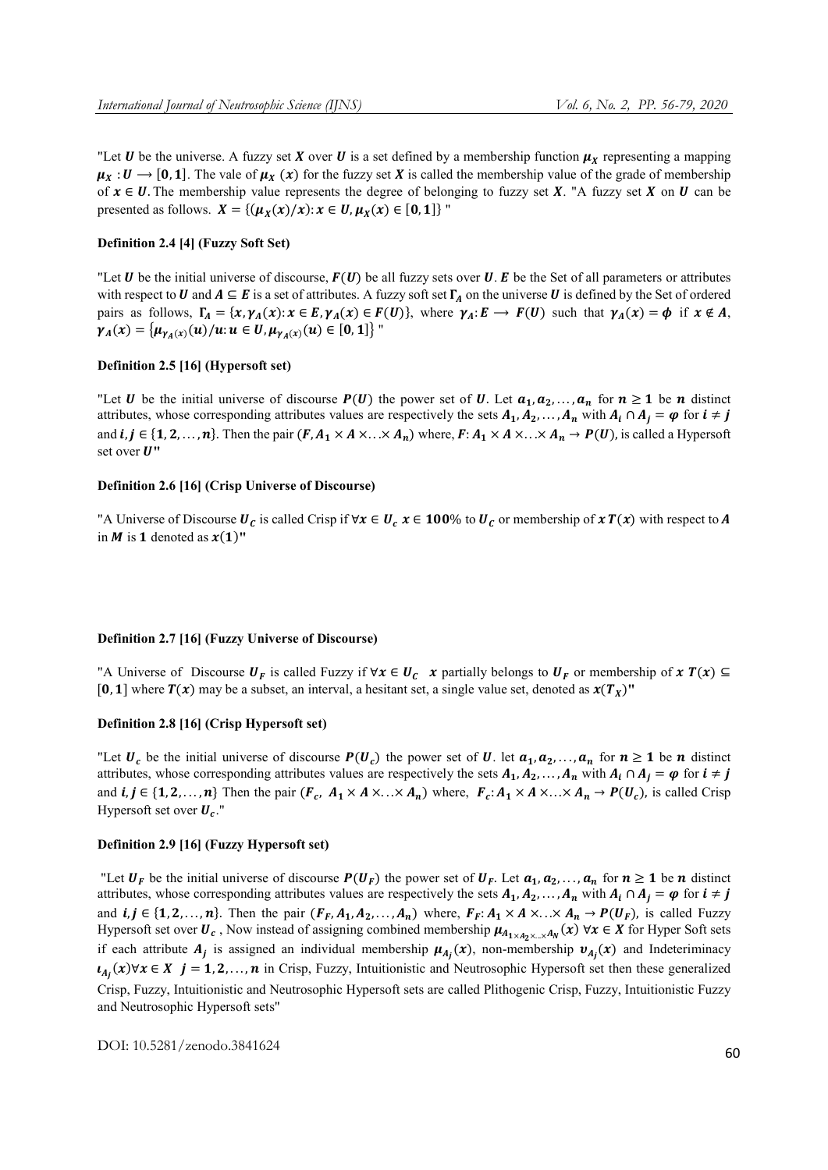"Let **U** be the universe. A fuzzy set **X** over **U** is a set defined by a membership function  $\mu_X$  representing a mapping  $\mu_X: U \to [0, 1]$ . The vale of  $\mu_X(x)$  for the fuzzy set X is called the membership value of the grade of membership of  $x \in U$ . The membership value represents the degree of belonging to fuzzy set X. "A fuzzy set X on U can be presented as follows.  $X = \{(\mu_X(x)/x): x \in U, \mu_X(x) \in [0, 1]\}$ "

# Definition 2.4 [4] (Fuzzy Soft Set)

"Let **U** be the initial universe of discourse,  $F(U)$  be all fuzzy sets over **U**. E be the Set of all parameters or attributes with respect to **U** and  $A \subseteq E$  is a set of attributes. A fuzzy soft set  $\Gamma_A$  on the universe **U** is defined by the Set of ordered pairs as follows,  $\Gamma_A = \{x, \gamma_A(x): x \in E, \gamma_A(x) \in F(U)\}$ , where  $\gamma_A : E \to F(U)$  such that  $\gamma_A(x) = \phi$  if  $x \notin A$ ,  $\gamma_A(x) = {\mu_{\gamma_A(x)}(u)}/{u: u \in U, \mu_{\gamma_A(x)}(u) \in [0,1]}$ "

# Definition 2.5 [16] (Hypersoft set)

"Let **U** be the initial universe of discourse  $P(U)$  the power set of **U**. Let  $a_1, a_2, ..., a_n$  for  $n \ge 1$  be *n* distinct attributes, whose corresponding attributes values are respectively the sets  $A_1, A_2, \ldots, A_n$  with  $A_i \cap A_j = \varphi$  for  $i \neq j$ and  $i, j \in \{1, 2, ..., n\}$ . Then the pair  $(F, A_1 \times A \times ... \times A_n)$  where,  $F: A_1 \times A \times ... \times A_n \to P(U)$ , is called a Hypersoft set over  $U$ "

# Definition 2.6 [16] (Crisp Universe of Discourse)

"A Universe of Discourse  $U_c$  is called Crisp if  $\forall x \in U_c$   $x \in 100\%$  to  $U_c$  or membership of  $x T(x)$  with respect to A in M is 1 denoted as  $x(1)$ "

#### Definition 2.7 [16] (Fuzzy Universe of Discourse)

"A Universe of Discourse  $U_F$  is called Fuzzy if  $\forall x \in U_C$  x partially belongs to  $U_F$  or membership of  $x T(x) \subseteq$ [0, 1] where  $T(x)$  may be a subset, an interval, a hesitant set, a single value set, denoted as  $x(T<sub>x</sub>)$ "

# Definition 2.8 [16] (Crisp Hypersoft set)

"Let  $U_c$  be the initial universe of discourse  $P(U_c)$  the power set of U. let  $a_1, a_2,..., a_n$  for  $n \ge 1$  be n distinct attributes, whose corresponding attributes values are respectively the sets  $A_1, A_2, \ldots, A_n$  with  $A_i \cap A_j = \varphi$  for  $i \neq j$ and  $i, j \in \{1, 2, ..., n\}$  Then the pair  $(F_c, A_1 \times A \times ... \times A_n)$  where,  $F_c: A_1 \times A \times ... \times A_n \rightarrow P(U_c)$ , is called Crisp Hypersoft set over  $U_c$ ."

# Definition 2.9 [16] (Fuzzy Hypersoft set)

"Let  $U_F$  be the initial universe of discourse  $P(U_F)$  the power set of  $U_F$ . Let  $a_1, a_2, \ldots, a_n$  for  $n \ge 1$  be n distinct attributes, whose corresponding attributes values are respectively the sets  $A_1, A_2, \ldots, A_n$  with  $A_i \cap A_j = \varphi$  for  $i \neq j$ and  $i, j \in \{1, 2, ..., n\}$ . Then the pair  $(F_F, A_1, A_2, ..., A_n)$  where,  $F_F: A_1 \times A \times ... \times A_n \to P(U_F)$ , is called Fuzzy Hypersoft set over  $U_c$ , Now instead of assigning combined membership  $\mu_{A_1\times A_2\times \ldots \times A_N}(x)$   $\forall x \in X$  for Hyper Soft sets if each attribute  $A_j$  is assigned an individual membership  $\mu_{A_j}(x)$ , non-membership  $v_{A_j}(x)$  and Indeteriminacy  $i_{A_j}(x)$ ∀ $x \in X$   $j = 1, 2, ..., n$  in Crisp, Fuzzy, Intuitionistic and Neutrosophic Hypersoft set then these generalized Crisp, Fuzzy, Intuitionistic and Neutrosophic Hypersoft sets are called Plithogenic Crisp, Fuzzy, Intuitionistic Fuzzy and Neutrosophic Hypersoft sets"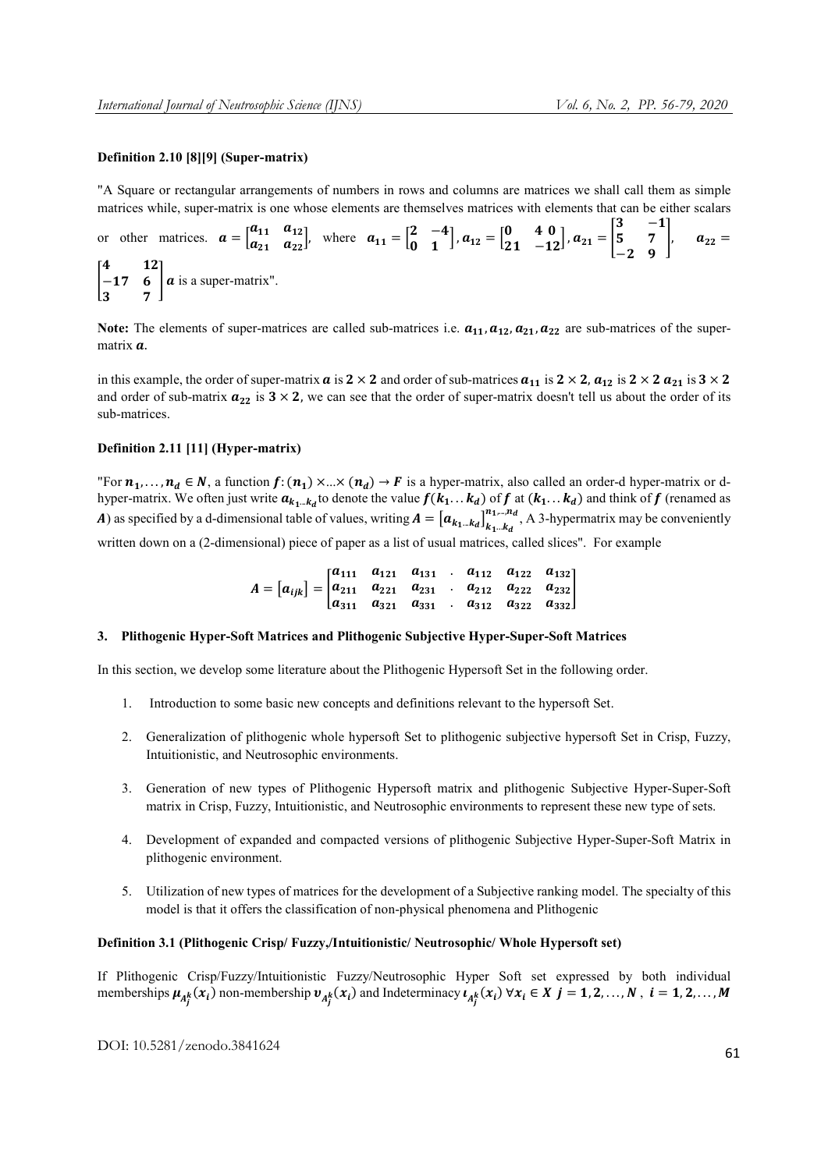# Definition 2.10 [8][9] (Super-matrix)

"A Square or rectangular arrangements of numbers in rows and columns are matrices we shall call them as simple matrices while, super-matrix is one whose elements are themselves matrices with elements that can be either scalars

or other matrices. 
$$
\mathbf{a} = \begin{bmatrix} a_{11} & a_{12} \\ a_{21} & a_{22} \end{bmatrix}
$$
, where  $\mathbf{a}_{11} = \begin{bmatrix} 2 & -4 \\ 0 & 1 \end{bmatrix}$ ,  $\mathbf{a}_{12} = \begin{bmatrix} 0 & 40 \\ 21 & -12 \end{bmatrix}$ ,  $\mathbf{a}_{21} = \begin{bmatrix} 3 & -1 \\ 5 & 7 \\ -2 & 9 \end{bmatrix}$ ,  $\mathbf{a}_{22} = \begin{bmatrix} 4 & 12 \\ -17 & 6 \\ 3 & 7 \end{bmatrix}$   $\mathbf{a}$  is a super-matrix".

Note: The elements of super-matrices are called sub-matrices i.e.  $a_{11}, a_{12}, a_{21}, a_{22}$  are sub-matrices of the supermatrix  $\boldsymbol{a}$ .

in this example, the order of super-matrix  $a$  is  $2 \times 2$  and order of sub-matrices  $a_{11}$  is  $2 \times 2$ ,  $a_{12}$  is  $2 \times 2$   $a_{21}$  is  $3 \times 2$ and order of sub-matrix  $a_{22}$  is  $3 \times 2$ , we can see that the order of super-matrix doesn't tell us about the order of its sub-matrices.

# Definition 2.11 [11] (Hyper-matrix)

"For  $n_1, ..., n_d \in N$ , a function  $f: (n_1) \times ... \times (n_d) \rightarrow F$  is a hyper-matrix, also called an order-d hyper-matrix or dhyper-matrix. We often just write  $a_{k_1...k_d}$  to denote the value  $f(k_1...k_d)$  of  $f$  at  $(k_1...k_d)$  and think of  $f$  (renamed as **A**) as specified by a d-dimensional table of values, writing  $A = [a_{k_1...k_d}]_{k_1...k_d}^{k_1...k_d}$  $n_1,...,n_d$ , A 3-hypermatrix may be conveniently

written down on a (2-dimensional) piece of paper as a list of usual matrices, called slices". For example

$$
A = [a_{ijk}] = \begin{bmatrix} a_{111} & a_{121} & a_{131} & a_{112} & a_{122} & a_{132} \\ a_{211} & a_{221} & a_{231} & a_{212} & a_{222} & a_{232} \\ a_{311} & a_{321} & a_{331} & a_{312} & a_{322} & a_{332} \end{bmatrix}
$$

# 3. Plithogenic Hyper-Soft Matrices and Plithogenic Subjective Hyper-Super-Soft Matrices

In this section, we develop some literature about the Plithogenic Hypersoft Set in the following order.

- 1. Introduction to some basic new concepts and definitions relevant to the hypersoft Set.
- 2. Generalization of plithogenic whole hypersoft Set to plithogenic subjective hypersoft Set in Crisp, Fuzzy, Intuitionistic, and Neutrosophic environments.
- 3. Generation of new types of Plithogenic Hypersoft matrix and plithogenic Subjective Hyper-Super-Soft matrix in Crisp, Fuzzy, Intuitionistic, and Neutrosophic environments to represent these new type of sets.
- 4. Development of expanded and compacted versions of plithogenic Subjective Hyper-Super-Soft Matrix in plithogenic environment.
- 5. Utilization of new types of matrices for the development of a Subjective ranking model. The specialty of this model is that it offers the classification of non-physical phenomena and Plithogenic

#### Definition 3.1 (Plithogenic Crisp/ Fuzzy,/Intuitionistic/ Neutrosophic/ Whole Hypersoft set)

If Plithogenic Crisp/Fuzzy/Intuitionistic Fuzzy/Neutrosophic Hyper Soft set expressed by both individual memberships  $\mu_{A_j^k}(x_i)$  non-membership  $v_{A_j^k}(x_i)$  and Indeterminacy  $\mu_{A_j^k}(x_i)$   $\forall x_i \in X$   $j = 1, 2, ..., N$ ,  $i = 1, 2, ..., M$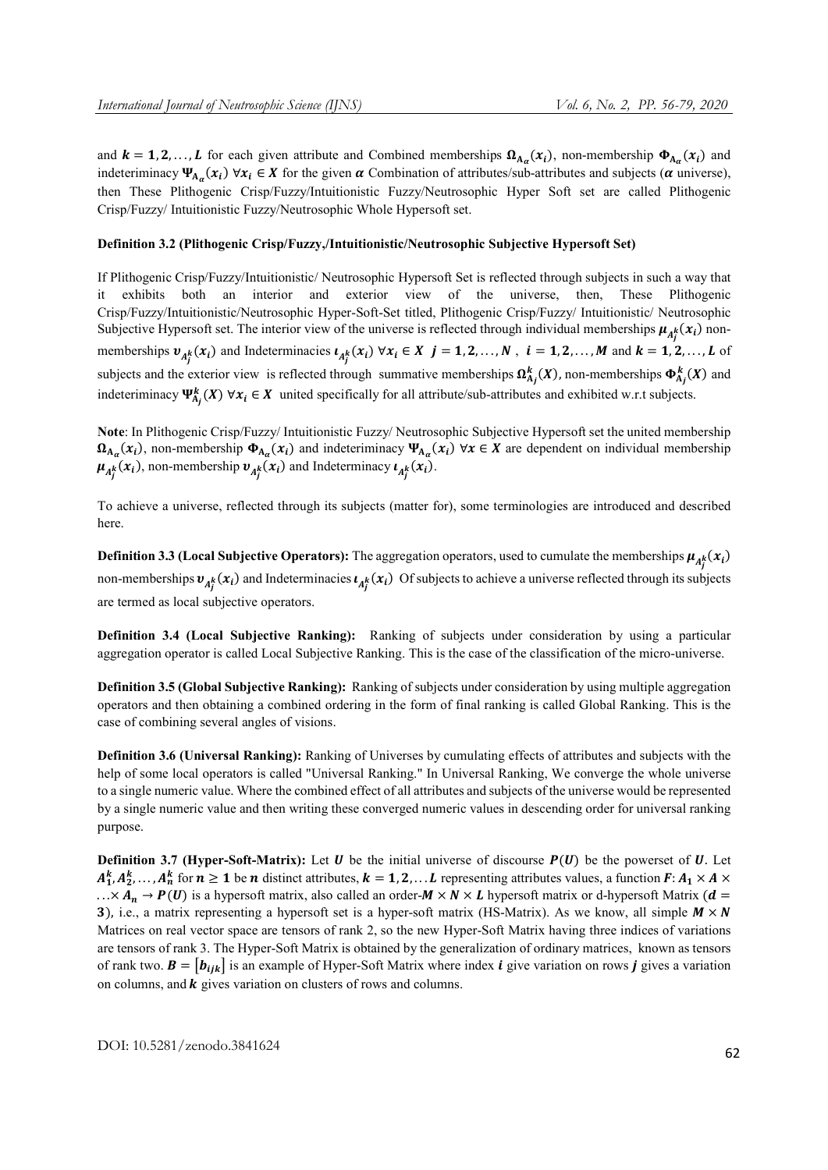and  $k = 1, 2, ..., L$  for each given attribute and Combined memberships  $\Omega_{A_{\alpha}}(x_i)$ , non-membership  $\Phi_{A_{\alpha}}(x_i)$  and indeteriminacy  $\Psi_{A_{\alpha}}(x_i)$   $\forall x_i \in X$  for the given  $\alpha$  Combination of attributes/sub-attributes and subjects ( $\alpha$  universe), then These Plithogenic Crisp/Fuzzy/Intuitionistic Fuzzy/Neutrosophic Hyper Soft set are called Plithogenic Crisp/Fuzzy/ Intuitionistic Fuzzy/Neutrosophic Whole Hypersoft set.

#### Definition 3.2 (Plithogenic Crisp/Fuzzy,/Intuitionistic/Neutrosophic Subjective Hypersoft Set)

If Plithogenic Crisp/Fuzzy/Intuitionistic/ Neutrosophic Hypersoft Set is reflected through subjects in such a way that it exhibits both an interior and exterior view of the universe, then, These Plithogenic Crisp/Fuzzy/Intuitionistic/Neutrosophic Hyper-Soft-Set titled, Plithogenic Crisp/Fuzzy/ Intuitionistic/ Neutrosophic Subjective Hypersoft set. The interior view of the universe is reflected through individual memberships  $\mu_{A_j^k}(x_i)$  nonmemberships  $v_{A_j^k}(x_i)$  and Indeterminacies  $t_{A_j^k}(x_i)$   $\forall x_i \in X$   $j = 1, 2, ..., N$ ,  $i = 1, 2, ..., M$  and  $k = 1, 2, ..., L$  of subjects and the exterior view is reflected through summative memberships  $\Omega_{A_j}^k(X)$ , non-memberships  $\Phi_{A_j}^k(X)$  and indeteriminacy  $\Psi_{A_j}^k(X)$   $\forall x_i \in X$  united specifically for all attribute/sub-attributes and exhibited w.r.t subjects.

Note: In Plithogenic Crisp/Fuzzy/ Intuitionistic Fuzzy/ Neutrosophic Subjective Hypersoft set the united membership  $\Omega_{A_{\alpha}}(x_i)$ , non-membership  $\Phi_{A_{\alpha}}(x_i)$  and indeteriminacy  $\Psi_{A_{\alpha}}(x_i)$   $\forall x \in X$  are dependent on individual membership  $\mu_{A_j^k}(x_i)$ , non-membership  $v_{A_j^k}(x_i)$  and Indeterminacy  $\iota_{A_j^k}(x_i)$ .

To achieve a universe, reflected through its subjects (matter for), some terminologies are introduced and described here.

**Definition 3.3 (Local Subjective Operators):** The aggregation operators, used to cumulate the memberships  $\mu_{A_j^k}(x_i)$ non-memberships  $v_{A_f^k}(x_i)$  and Indeterminacies  $t_{A_f^k}(x_i)$  Of subjects to achieve a universe reflected through its subjects are termed as local subjective operators.

Definition 3.4 (Local Subjective Ranking): Ranking of subjects under consideration by using a particular aggregation operator is called Local Subjective Ranking. This is the case of the classification of the micro-universe.

Definition 3.5 (Global Subjective Ranking): Ranking of subjects under consideration by using multiple aggregation operators and then obtaining a combined ordering in the form of final ranking is called Global Ranking. This is the case of combining several angles of visions.

Definition 3.6 (Universal Ranking): Ranking of Universes by cumulating effects of attributes and subjects with the help of some local operators is called "Universal Ranking." In Universal Ranking, We converge the whole universe to a single numeric value. Where the combined effect of all attributes and subjects of the universe would be represented by a single numeric value and then writing these converged numeric values in descending order for universal ranking purpose.

**Definition 3.7 (Hyper-Soft-Matrix):** Let  $\bf{U}$  be the initial universe of discourse  $\bf{P}(\bf{U})$  be the powerset of  $\bf{U}$ . Let  $A_1^k, A_2^k, \ldots, A_n^k$  for  $n \ge 1$  be n distinct attributes,  $k = 1, 2, \ldots L$  representing attributes values, a function  $F: A_1 \times A \times$  $\ldots \times A_n \to P(U)$  is a hypersoft matrix, also called an order- $M \times N \times L$  hypersoft matrix or d-hypersoft Matrix ( $d =$ 3), i.e., a matrix representing a hypersoft set is a hyper-soft matrix (HS-Matrix). As we know, all simple  $M \times N$ Matrices on real vector space are tensors of rank 2, so the new Hyper-Soft Matrix having three indices of variations are tensors of rank 3. The Hyper-Soft Matrix is obtained by the generalization of ordinary matrices, known as tensors of rank two.  $\mathbf{B} = [\mathbf{b}_{ijk}]$  is an example of Hyper-Soft Matrix where index *i* give variation on rows *j* gives a variation on columns, and  $k$  gives variation on clusters of rows and columns.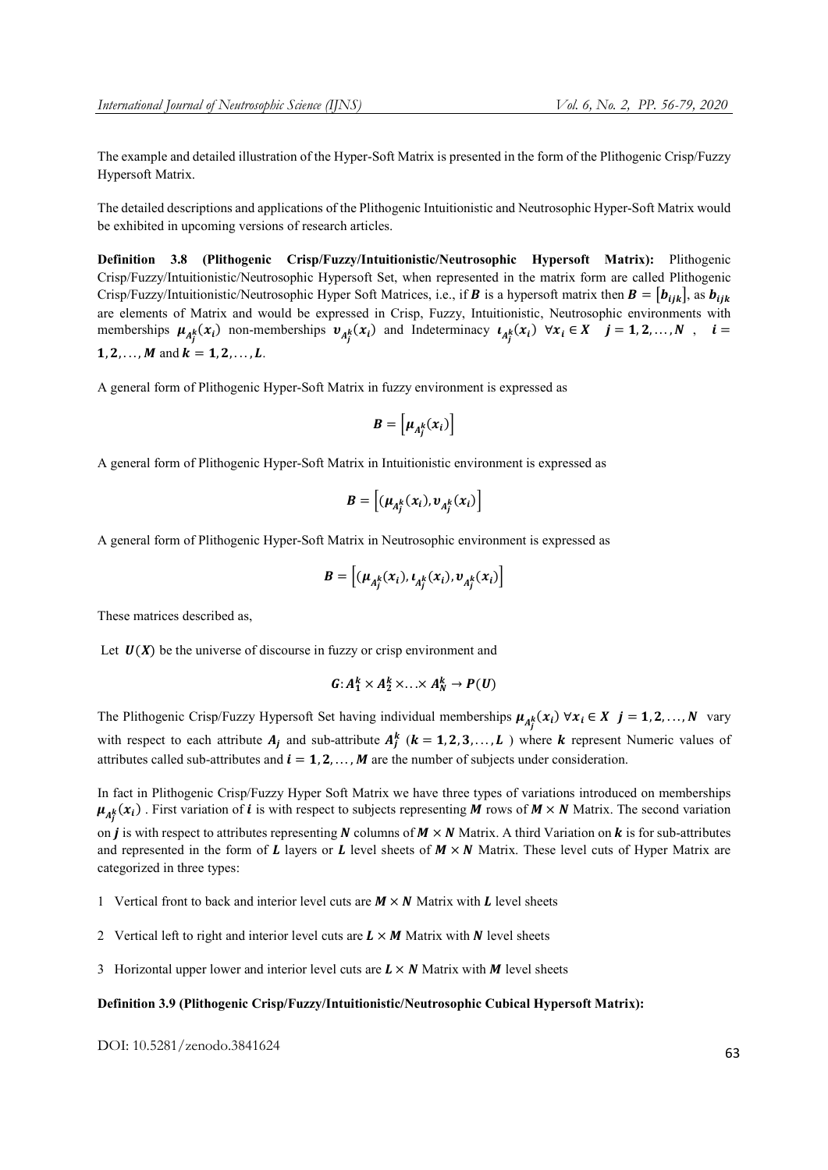The example and detailed illustration of the Hyper-Soft Matrix is presented in the form of the Plithogenic Crisp/Fuzzy Hypersoft Matrix.

The detailed descriptions and applications of the Plithogenic Intuitionistic and Neutrosophic Hyper-Soft Matrix would be exhibited in upcoming versions of research articles.

Definition 3.8 (Plithogenic Crisp/Fuzzy/Intuitionistic/Neutrosophic Hypersoft Matrix): Plithogenic Crisp/Fuzzy/Intuitionistic/Neutrosophic Hypersoft Set, when represented in the matrix form are called Plithogenic Crisp/Fuzzy/Intuitionistic/Neutrosophic Hyper Soft Matrices, i.e., if **B** is a hypersoft matrix then  $B = [b_{ijk}]$ , as  $b_{ijk}$ are elements of Matrix and would be expressed in Crisp, Fuzzy, Intuitionistic, Neutrosophic environments with memberships  $\mu_{A_j^k}(x_i)$  non-memberships  $v_{A_j^k}(x_i)$  and Indeterminacy  $u_{A_j^k}(x_i)$   $\forall x_i \in X$   $j = 1, 2, ..., N$ ,  $i =$ 1, 2, ..., M and  $k = 1, 2, ..., L$ .

A general form of Plithogenic Hyper-Soft Matrix in fuzzy environment is expressed as

$$
B=\left[\mu_{A_j^k}(x_i)\right]
$$

A general form of Plithogenic Hyper-Soft Matrix in Intuitionistic environment is expressed as

$$
\boldsymbol{B} = \left[ (\boldsymbol{\mu}_{A_j^k}(x_i), \boldsymbol{v}_{A_j^k}(x_i) \right]
$$

A general form of Plithogenic Hyper-Soft Matrix in Neutrosophic environment is expressed as

$$
B = \left[ (\mu_{A_j^k}(x_i), \iota_{A_j^k}(x_i), \nu_{A_j^k}(x_i) \right]
$$

These matrices described as,

Let  $U(X)$  be the universe of discourse in fuzzy or crisp environment and

$$
G: A_1^k \times A_2^k \times \ldots \times A_N^k \to P(U)
$$

The Plithogenic Crisp/Fuzzy Hypersoft Set having individual memberships  $\mu_{A_j^k}(x_i) \,\forall x_i \in X \, j = 1, 2, ..., N$  vary with respect to each attribute  $A_j$  and sub-attribute  $A_j^k$  ( $k = 1, 2, 3, \ldots, L$ ) where k represent Numeric values of attributes called sub-attributes and  $\mathbf{i} = 1, 2, \dots, M$  are the number of subjects under consideration.

In fact in Plithogenic Crisp/Fuzzy Hyper Soft Matrix we have three types of variations introduced on memberships  $\mu_{A_j^k}(x_i)$ . First variation of *i* is with respect to subjects representing **M** rows of **M** × **N** Matrix. The second variation

on *j* is with respect to attributes representing N columns of  $M \times N$  Matrix. A third Variation on k is for sub-attributes and represented in the form of  $L$  layers or  $L$  level sheets of  $M \times N$  Matrix. These level cuts of Hyper Matrix are categorized in three types:

1 Vertical front to back and interior level cuts are  $M \times N$  Matrix with L level sheets

- 2 Vertical left to right and interior level cuts are  $L \times M$  Matrix with N level sheets
- 3 Horizontal upper lower and interior level cuts are  $L \times N$  Matrix with M level sheets

#### Definition 3.9 (Plithogenic Crisp/Fuzzy/Intuitionistic/Neutrosophic Cubical Hypersoft Matrix):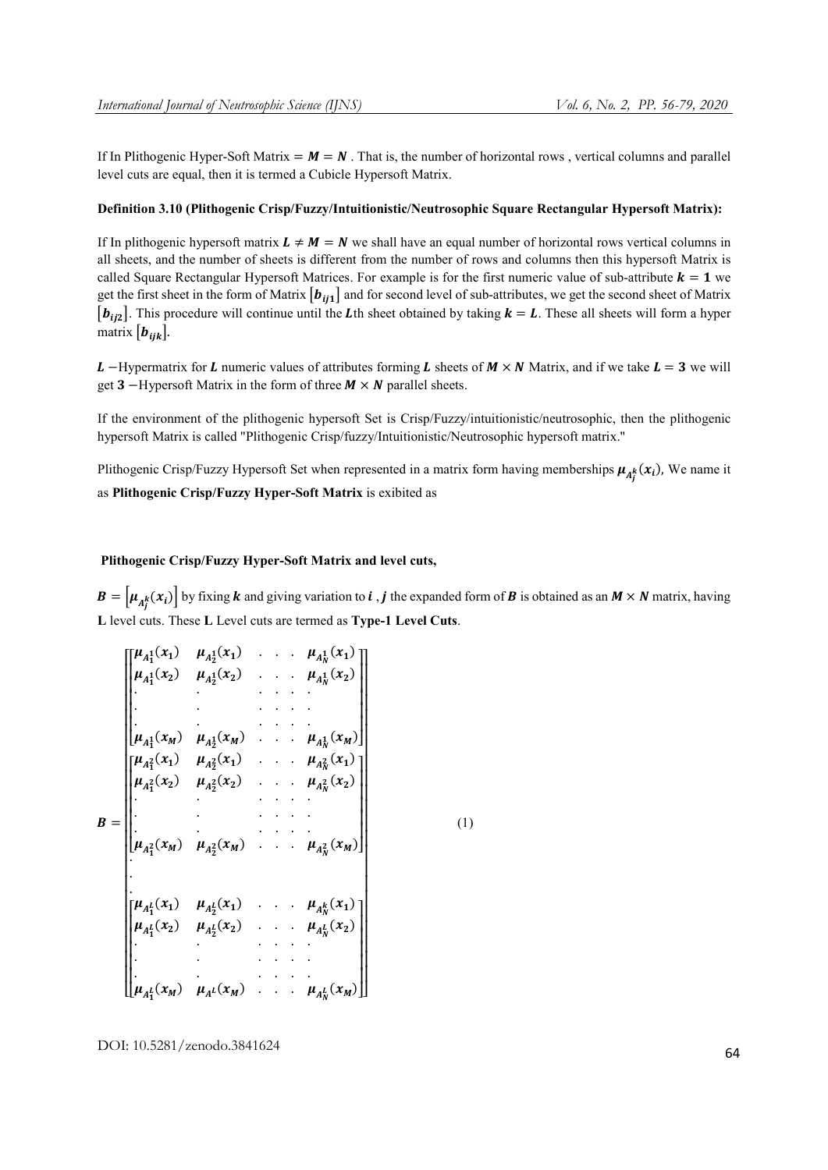If In Plithogenic Hyper-Soft Matrix =  $M = N$ . That is, the number of horizontal rows, vertical columns and parallel level cuts are equal, then it is termed a Cubicle Hypersoft Matrix.

# Definition 3.10 (Plithogenic Crisp/Fuzzy/Intuitionistic/Neutrosophic Square Rectangular Hypersoft Matrix):

If In plithogenic hypersoft matrix  $L \neq M = N$  we shall have an equal number of horizontal rows vertical columns in all sheets, and the number of sheets is different from the number of rows and columns then this hypersoft Matrix is called Square Rectangular Hypersoft Matrices. For example is for the first numeric value of sub-attribute  $k = 1$  we get the first sheet in the form of Matrix  $\left[b_{ij1}\right]$  and for second level of sub-attributes, we get the second sheet of Matrix  $[b_{ii2}]$ . This procedure will continue until the Lth sheet obtained by taking  $k = L$ . These all sheets will form a hyper matrix  $[\boldsymbol{b}_{ijk}]$ .

L –Hypermatrix for L numeric values of attributes forming L sheets of  $M \times N$  Matrix, and if we take  $L = 3$  we will get **3** –Hypersoft Matrix in the form of three  $M \times N$  parallel sheets.

If the environment of the plithogenic hypersoft Set is Crisp/Fuzzy/intuitionistic/neutrosophic, then the plithogenic hypersoft Matrix is called "Plithogenic Crisp/fuzzy/Intuitionistic/Neutrosophic hypersoft matrix."

Plithogenic Crisp/Fuzzy Hypersoft Set when represented in a matrix form having memberships  $\mu_{A_j^k}(x_i)$ , We name it as Plithogenic Crisp/Fuzzy Hyper-Soft Matrix is exibited as

# Plithogenic Crisp/Fuzzy Hyper-Soft Matrix and level cuts,

 $\bm{B} = \left[\mu_{A_j^k}(x_i)\right]$  by fixing **k** and giving variation to **i**, **j** the expanded form of **B** is obtained as an  $M \times N$  matrix, having L level cuts. These L Level cuts are termed as Type-1 Level Cuts.

(1)

$$
B = \begin{bmatrix} \mu_{A_1^1}(x_1) & \mu_{A_2^1}(x_1) & \cdots & \mu_{A_N^1}(x_1) \\ \mu_{A_1^1}(x_2) & \mu_{A_2^1}(x_2) & \cdots & \mu_{A_N^1}(x_2) \\ \vdots & \vdots & \ddots & \vdots \\ \mu_{A_1^1}(x_M) & \mu_{A_2^1}(x_M) & \cdots & \mu_{A_N^2}(x_M) \end{bmatrix}
$$
  

$$
B = \begin{bmatrix} \mu_{A_1^2}(x_1) & \mu_{A_2^2}(x_1) & \cdots & \mu_{A_N^2}(x_1) \\ \vdots & \vdots & \ddots & \vdots \\ \mu_{A_1^2}(x_M) & \mu_{A_2^2}(x_M) & \cdots & \mu_{A_N^2}(x_M) \end{bmatrix}
$$
  

$$
\mu_{A_1^1}(x_1) & \mu_{A_2^1}(x_1) & \cdots & \mu_{A_N^k}(x_1) \end{bmatrix}
$$
  

$$
\mu_{A_1^1}(x_2) & \mu_{A_2^1}(x_2) & \cdots & \mu_{A_N^k}(x_2) \end{bmatrix}
$$
  

$$
\mu_{A_1^1}(x_M) & \mu_{A_1^1}(x_M) & \cdots & \mu_{A_N^1}(x_N)
$$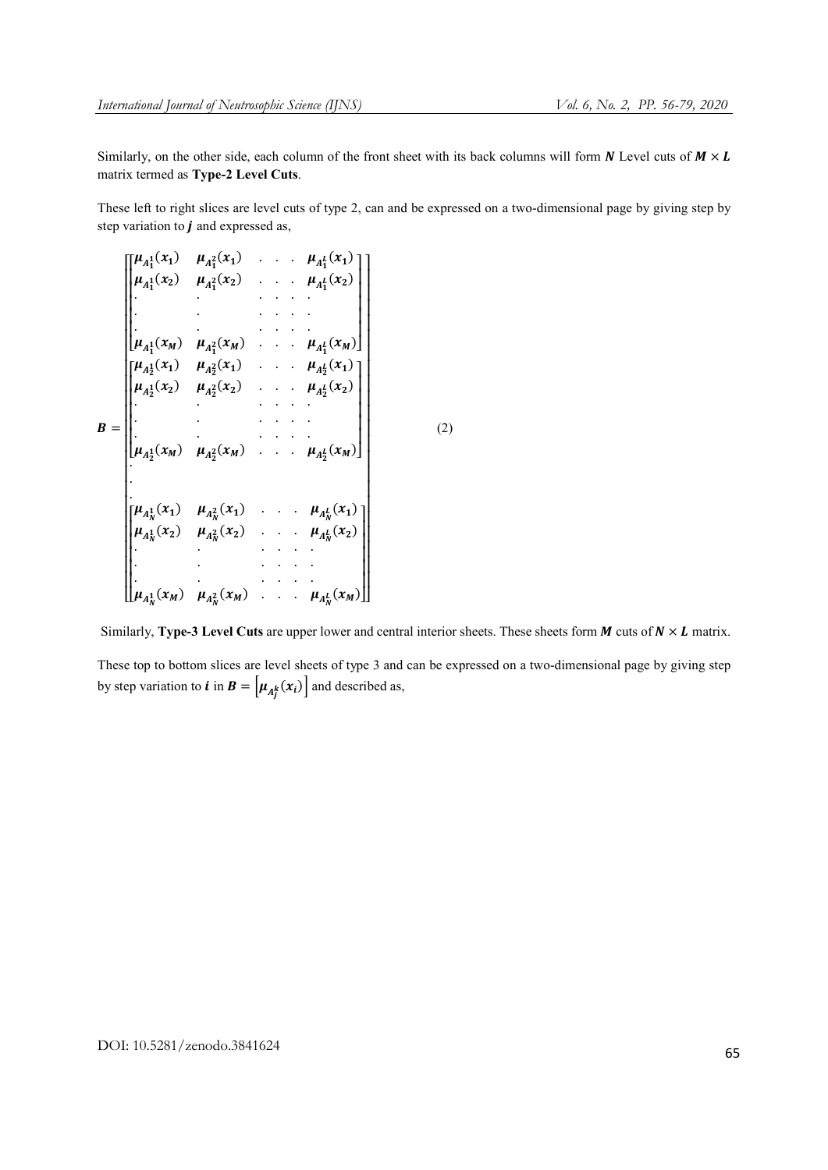Similarly, on the other side, each column of the front sheet with its back columns will form  $N$  Level cuts of  $M \times L$ matrix termed as Type-2 Level Cuts.

These left to right slices are level cuts of type 2, can and be expressed on a two-dimensional page by giving step by step variation to  $\boldsymbol{j}$  and expressed as,

$$
B = \begin{bmatrix} \mu_{A_1^1}(x_1) & \mu_{A_1^2}(x_1) & \cdots & \mu_{A_1^1}(x_1) \\ \mu_{A_1^1}(x_2) & \mu_{A_1^2}(x_2) & \cdots & \mu_{A_1^1}(x_2) \\ \vdots & \vdots & \ddots & \vdots \\ \mu_{A_1^1}(x_M) & \mu_{A_1^2}(x_M) & \cdots & \mu_{A_1^1}(x_M) \\ \mu_{A_1^1}(x_1) & \mu_{A_1^2}(x_1) & \cdots & \mu_{A_1^1}(x_1) \\ \mu_{A_1^1}(x_2) & \mu_{A_1^2}(x_2) & \cdots & \mu_{A_1^1}(x_2) \\ \vdots & \vdots & \ddots & \vdots \\ \mu_{A_1^1}(x_M) & \mu_{A_1^2}(x_M) & \cdots & \mu_{A_1^1}(x_M) \\ \mu_{A_1^1}(x_1) & \mu_{A_1^2}(x_1) & \cdots & \mu_{A_N^1}(x_1) \\ \mu_{A_1^1}(x_2) & \mu_{A_1^2}(x_2) & \cdots & \mu_{A_N^1}(x_2) \\ \vdots & \vdots & \ddots & \vdots \\ \mu_{A_1^1}(x_M) & \mu_{A_1^2}(x_M) & \cdots & \mu_{A_N^1}(x_M) \end{bmatrix}
$$

Similarly, Type-3 Level Cuts are upper lower and central interior sheets. These sheets form  $M$  cuts of  $N \times L$  matrix.

(2)

These top to bottom slices are level sheets of type 3 and can be expressed on a two-dimensional page by giving step by step variation to **i** in **B** =  $\left[ \mu_{A_j^k}(x_i) \right]$  and described as,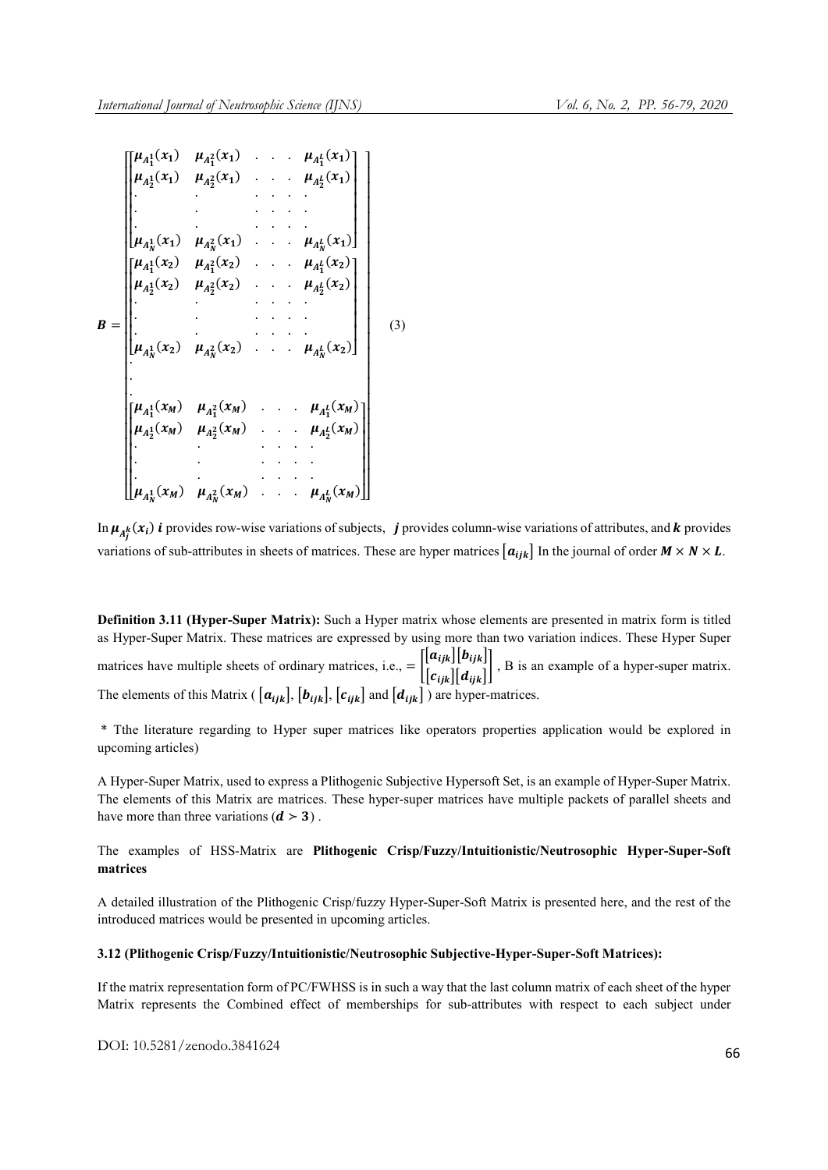|   |                          | $\begin{bmatrix} \mu_{A_1^1}(x_1) & \mu_{A_1^2}(x_1) & \dots & \mu_{A_1^l}(x_1) \end{bmatrix}$ |  |                             |     |
|---|--------------------------|------------------------------------------------------------------------------------------------|--|-----------------------------|-----|
|   |                          | $\mu_{A_2^1}(x_1)$ $\mu_{A_2^2}(x_1)$ $\ldots$ $\mu_{A_2^L}(x_1)$                              |  |                             |     |
|   |                          |                                                                                                |  |                             |     |
|   |                          |                                                                                                |  |                             |     |
|   |                          |                                                                                                |  |                             |     |
|   | $\mu_{A_{N}^{1}}(x_{1})$ | $\mu_{A_N^2}(x_1)$ . $\mu_{A_N^L}(x_1)$                                                        |  |                             |     |
|   |                          | $\begin{bmatrix} \mu_{A_1^1}(x_2) & \mu_{A_1^2}(x_2) & \dots & \mu_{A_1^l}(x_2) \end{bmatrix}$ |  |                             |     |
|   |                          | $\mu_{A_2^1}(x_2)$ $\mu_{A_2^2}(x_2)$ . $\mu_{A_2^1}(x_2)$                                     |  |                             |     |
|   |                          |                                                                                                |  |                             |     |
| B |                          |                                                                                                |  |                             | (3) |
|   |                          |                                                                                                |  |                             |     |
|   |                          | $\mu_{A_N^1}(x_2)$ $\mu_{A_N^2}(x_2)$                                                          |  | $\ldots$ $\mu_{A_N^L}(x_2)$ |     |
|   |                          |                                                                                                |  |                             |     |
|   |                          | $\begin{bmatrix} \mu_{A_1^1}(x_M) & \mu_{A_1^2}(x_M) & \dots & \mu_{A_1^L}(x_M) \end{bmatrix}$ |  |                             |     |
|   |                          | $\mu_{A_2^1}(x_M)$ $\mu_{A_2^2}(x_M)$ $\mu_{A_2^1}(x_M)$                                       |  |                             |     |
|   |                          |                                                                                                |  |                             |     |
|   |                          |                                                                                                |  |                             |     |
|   |                          |                                                                                                |  |                             |     |
|   |                          | $\left[\mu_{A_N^1}(x_M) \quad \mu_{A_N^2}(x_M) \quad \ldots \quad \mu_{A_N^L}(x_M)\right]$     |  |                             |     |

In  $\mu_{A_j^k}(x_i)$  i provides row-wise variations of subjects, j provides column-wise variations of attributes, and k provides variations of sub-attributes in sheets of matrices. These are hyper matrices  $[a_{ijk}]$  In the journal of order  $M \times N \times L$ .

Definition 3.11 (Hyper-Super Matrix): Such a Hyper matrix whose elements are presented in matrix form is titled as Hyper-Super Matrix. These matrices are expressed by using more than two variation indices. These Hyper Super matrices have multiple sheets of ordinary matrices, i.e.,  $= \begin{bmatrix} \begin{bmatrix} a_{ijk} \end{bmatrix} \begin{bmatrix} b_{ijk} \end{bmatrix}$  $[c_{ijk}][d_{ijk}]$ , B is an example of a hyper-super matrix. The elements of this Matrix (  $[a_{iik}]$ ,  $[b_{iik}]$ ,  $[c_{iik}]$  and  $[d_{iik}]$  ) are hyper-matrices.

\* Tthe literature regarding to Hyper super matrices like operators properties application would be explored in upcoming articles)

A Hyper-Super Matrix, used to express a Plithogenic Subjective Hypersoft Set, is an example of Hyper-Super Matrix. The elements of this Matrix are matrices. These hyper-super matrices have multiple packets of parallel sheets and have more than three variations  $(d > 3)$ .

The examples of HSS-Matrix are Plithogenic Crisp/Fuzzy/Intuitionistic/Neutrosophic Hyper-Super-Soft matrices

A detailed illustration of the Plithogenic Crisp/fuzzy Hyper-Super-Soft Matrix is presented here, and the rest of the introduced matrices would be presented in upcoming articles.

#### 3.12 (Plithogenic Crisp/Fuzzy/Intuitionistic/Neutrosophic Subjective-Hyper-Super-Soft Matrices):

If the matrix representation form of PC/FWHSS is in such a way that the last column matrix of each sheet of the hyper Matrix represents the Combined effect of memberships for sub-attributes with respect to each subject under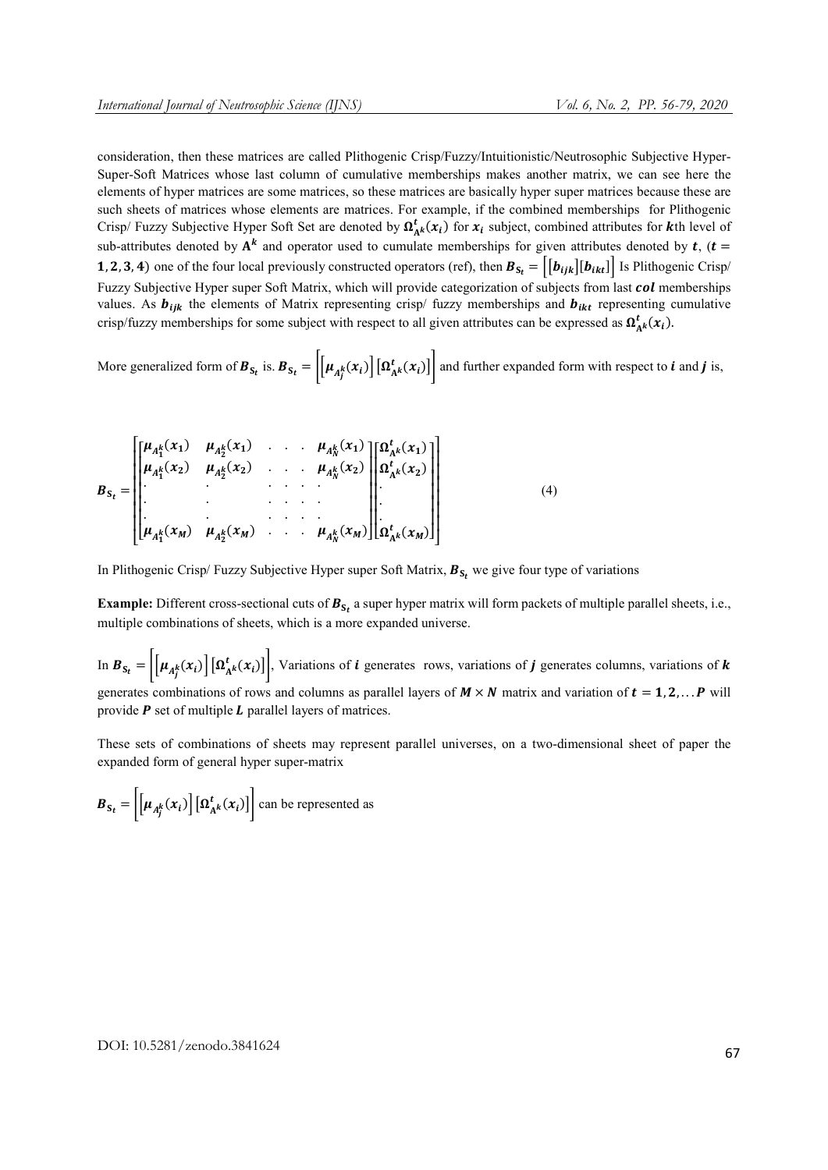consideration, then these matrices are called Plithogenic Crisp/Fuzzy/Intuitionistic/Neutrosophic Subjective Hyper-Super-Soft Matrices whose last column of cumulative memberships makes another matrix, we can see here the elements of hyper matrices are some matrices, so these matrices are basically hyper super matrices because these are such sheets of matrices whose elements are matrices. For example, if the combined memberships for Plithogenic Crisp/ Fuzzy Subjective Hyper Soft Set are denoted by  $\Omega_{A^k}^t(x_i)$  for  $x_i$  subject, combined attributes for kth level of sub-attributes denoted by  $A^k$  and operator used to cumulate memberships for given attributes denoted by  $t$ ,  $(t =$ 1, 2, 3, 4) one of the four local previously constructed operators (ref), then  $B_{S_t} = |[b_{ijk}][b_{ikt}]|$  is Plithogenic Crisp/ Fuzzy Subjective Hyper super Soft Matrix, which will provide categorization of subjects from last *col* memberships values. As  $b_{ijk}$  the elements of Matrix representing crisp/ fuzzy memberships and  $b_{ikt}$  representing cumulative crisp/fuzzy memberships for some subject with respect to all given attributes can be expressed as  $\Omega^t_{A^k}(x_i)$ .

More generalized form of  $B_{S_t}$  is.  $B_{S_t} = \left| \left[ \mu_{A_f^k}(x_i) \right] \left[ \Omega_{A^k}^t(x_i) \right] \right|$  and further expanded form with respect to *i* and *j* is,

$$
B_{S_t} = \begin{bmatrix} \mu_{A_1^k}(x_1) & \mu_{A_2^k}(x_1) & \cdots & \mu_{A_N^k}(x_1) \\ \mu_{A_1^k}(x_2) & \mu_{A_2^k}(x_2) & \cdots & \mu_{A_N^k}(x_2) \\ \vdots & \vdots & \ddots & \vdots \\ \mu_{A_1^k}(x_M) & \mu_{A_2^k}(x_M) & \cdots & \mu_{A_N^k}(x_M) \end{bmatrix} \begin{bmatrix} \Omega_{A^k}^t(x_1) \\ \Omega_{A^k}^t(x_2) \\ \vdots \\ \Omega_{A^k}^t(x_M) \end{bmatrix} \qquad (4)
$$

In Plithogenic Crisp/ Fuzzy Subjective Hyper super Soft Matrix,  $B_{S_f}$  we give four type of variations

**Example:** Different cross-sectional cuts of  $B_{S_t}$  a super hyper matrix will form packets of multiple parallel sheets, i.e., multiple combinations of sheets, which is a more expanded universe.

In  $B_{S_t} = \left| \left[ \mu_{A_j^k}(x_i) \right] \left[ \Omega_{A^k}^t(x_i) \right] \right|$ , Variations of *i* generates rows, variations of *j* generates columns, variations of *k* generates combinations of rows and columns as parallel layers of  $M \times N$  matrix and variation of  $t = 1, 2, \ldots, P$  will provide  $P$  set of multiple  $L$  parallel layers of matrices.

These sets of combinations of sheets may represent parallel universes, on a two-dimensional sheet of paper the expanded form of general hyper super-matrix

 $B_{S_t} = \left| \left[ \mu_{A_j^k}(x_i) \right] \left[ \Omega_{A^k}^t(x_i) \right] \right|$  can be represented as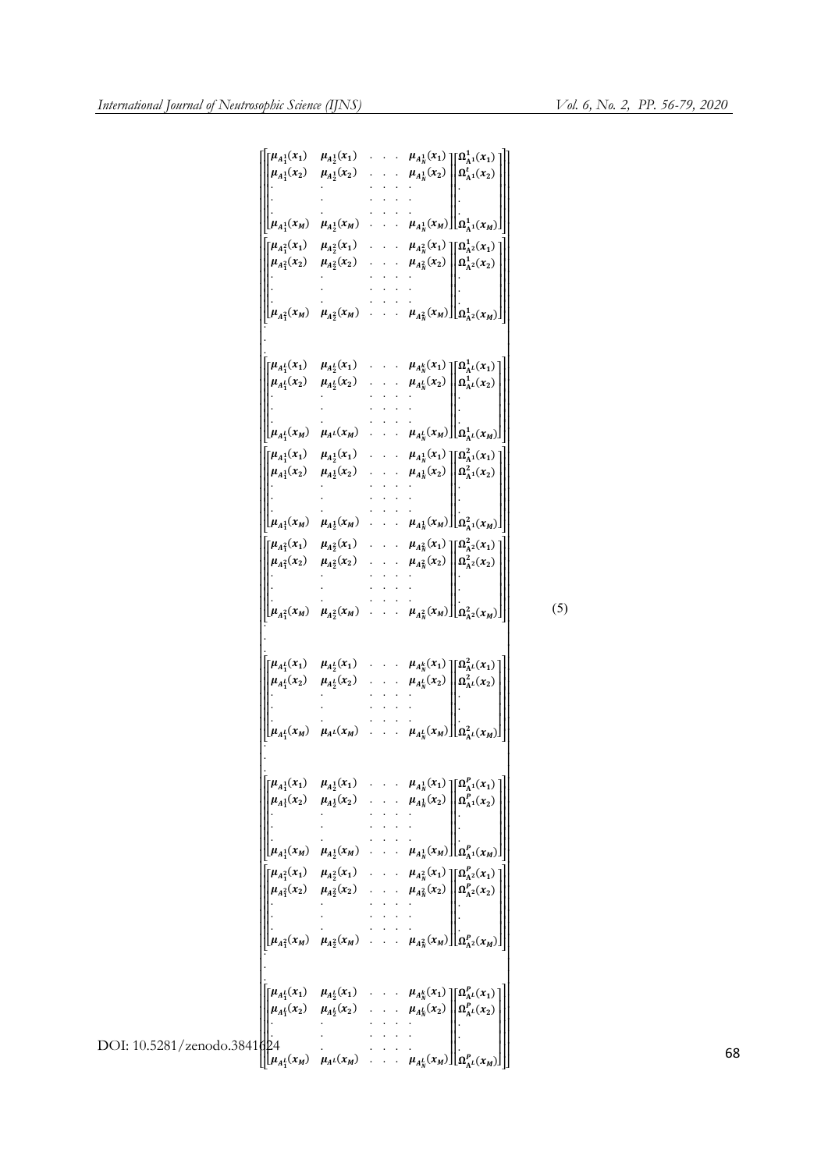$(5)$ 

|                             |  | $\begin{bmatrix} \mu_{A_1^1}(x_1) & \mu_{A_2^1}(x_1) & \cdots & \mu_{A_N^1}(x_1) \end{bmatrix} \begin{bmatrix} \Omega_{A_1^1}^1(x_1) \end{bmatrix}$                                                                                                    |
|-----------------------------|--|--------------------------------------------------------------------------------------------------------------------------------------------------------------------------------------------------------------------------------------------------------|
|                             |  | $\mu_{A_1^1}(x_2)$ $\mu_{A_2^1}(x_2)$ . $\mu_{A_N^1}(x_2)$ $\ \Omega_{A_1^1}^t(x_2)\ $                                                                                                                                                                 |
|                             |  |                                                                                                                                                                                                                                                        |
|                             |  |                                                                                                                                                                                                                                                        |
|                             |  | $\left[\mu_{A_1^1}(x_M) \quad \mu_{A_2^1}(x_M) \quad \ldots \quad \mu_{A_N^1}(x_M)\right] \left[\Omega_{A^1}^1(x_M)\right]$                                                                                                                            |
|                             |  | $\begin{bmatrix} \mu_{A_1^2}(x_1) & \mu_{A_2^2}(x_1) & \cdots & \mu_{A_N^2}(x_1) \end{bmatrix} \begin{bmatrix} \Omega_{A^2}^1(x_1) \end{bmatrix}$                                                                                                      |
|                             |  | $\mu_{A_1^2}(x_2)$ $\mu_{A_2^2}(x_2)$ . $\mu_{A_N^2}(x_2)$ $\left\  \Omega_{A^2}^1(x_2) \right\ $                                                                                                                                                      |
|                             |  |                                                                                                                                                                                                                                                        |
|                             |  |                                                                                                                                                                                                                                                        |
|                             |  | $\left[\mu_{A_1^2}(x_M) \quad \mu_{A_2^2}(x_M) \quad \ldots \quad \mu_{A_N^2}(x_M)\right] \left[\Omega_{A^2}(x_M)\right]$                                                                                                                              |
|                             |  |                                                                                                                                                                                                                                                        |
|                             |  |                                                                                                                                                                                                                                                        |
|                             |  | $\begin{bmatrix} \mu_{A_1^L}(x_1) & \mu_{A_2^L}(x_1) & \cdots & \mu_{A_N^k}(x_1) \end{bmatrix} \begin{bmatrix} \Omega_{A^L}^1(x_1) \end{bmatrix}$<br>$\mu_{A_1^L}(x_2)$ $\mu_{A_2^L}(x_2)$ $\ldots$ $\mu_{A_N^L}(x_2)$ $\ \Omega_{A^L}^1(x_2)\ $       |
|                             |  |                                                                                                                                                                                                                                                        |
|                             |  |                                                                                                                                                                                                                                                        |
|                             |  | $\left[\mu_{A_1^L}(x_M) \quad \mu_{A^L}(x_M) \quad \ldots \quad \mu_{A_N^L}(x_M)\right] \left[\Omega_{A^L}(x_M)\right]$                                                                                                                                |
|                             |  | $\begin{bmatrix} \mu_{A_1^1}(x_1) & \mu_{A_2^1}(x_1) & \cdots & \mu_{A_N^1}(x_1) \end{bmatrix} \begin{bmatrix} \Omega_{A^1}^2(x_1) \end{bmatrix}$                                                                                                      |
|                             |  | $\mu_{A_1^1}(x_2)$ $\mu_{A_2^1}(x_2)$ . $\mu_{A_N^1}(x_2)$ $\left\  \Omega_{A_1^1}^2(x_2) \right\ $                                                                                                                                                    |
|                             |  |                                                                                                                                                                                                                                                        |
|                             |  |                                                                                                                                                                                                                                                        |
|                             |  | $\left[\mu_{A_1^1}(x_M) \quad \mu_{A_2^1}(x_M) \quad \ldots \quad \mu_{A_N^1}(x_M)\right] \left[\Omega_{A^1}^2(x_M)\right]$                                                                                                                            |
|                             |  | $\begin{bmatrix} \mu_{A_1^2}(x_1) & \mu_{A_2^2}(x_1) & \cdots & \mu_{A_N^2}(x_1) \end{bmatrix} \begin{bmatrix} \Omega_{A^2}^2(x_1) \end{bmatrix}$                                                                                                      |
|                             |  | $\mu_{A_1^2}(x_2)$ $\mu_{A_2^2}(x_2)$ . $\mu_{A_N^2}(x_2)$ $\left\  \Omega_{A^2}^2(x_2) \right\ $                                                                                                                                                      |
|                             |  |                                                                                                                                                                                                                                                        |
|                             |  |                                                                                                                                                                                                                                                        |
|                             |  | $\left[\mu_{A_1^2}(x_M) \quad \mu_{A_2^2}(x_M) \quad \dots \quad \mu_{A_N^2}(x_M)\right] \left[\Omega_{A^2}^2(x_M)\right]$                                                                                                                             |
|                             |  |                                                                                                                                                                                                                                                        |
|                             |  |                                                                                                                                                                                                                                                        |
|                             |  | $\begin{bmatrix} \mu_{A_1^L}(x_1) & \mu_{A_2^L}(x_1) & \dots & \mu_{A_N^k}(x_1) \end{bmatrix} \begin{bmatrix} \Omega_{A^L}^2(x_1) \end{bmatrix}$                                                                                                       |
|                             |  | $\mu_{A_1^L}(x_2)$ $\mu_{A_2^L}(x_2)$ $\ldots$ $\mu_{A_N^L}(x_2)$ $\left\  \Omega_{A^L}^2(x_2) \right\ $                                                                                                                                               |
|                             |  |                                                                                                                                                                                                                                                        |
|                             |  |                                                                                                                                                                                                                                                        |
|                             |  | $\left[\mu_{A_1^L}(x_M) \quad \mu_{A^L}(x_M) \quad \dots \quad \mu_{A_N^L}(x_M)\right] \left[\Omega_{A^L}^2(x_M)\right]$                                                                                                                               |
|                             |  |                                                                                                                                                                                                                                                        |
|                             |  |                                                                                                                                                                                                                                                        |
|                             |  | $\begin{bmatrix} \mu_{A_1^1}(x_1) & \mu_{A_2^1}(x_1) & \cdots & \mu_{A_N^1}(x_1) \end{bmatrix} \begin{bmatrix} \Omega_{A_1}^P(x_1) \end{bmatrix}$                                                                                                      |
|                             |  | $\mu_{A_1^1}(x_2)$ $\mu_{A_2^1}(x_2)$ . $\mu_{A_N^1}(x_2)$ $\left\  \Omega_{A_1^1}^P(x_2) \right\ $                                                                                                                                                    |
|                             |  |                                                                                                                                                                                                                                                        |
|                             |  | $\begin{vmatrix} \mu_{A_1^1}(x_M) & \mu_{A_2^1}(x_M) & \cdots & \mu_{A_N^1}(x_M) \end{vmatrix} \begin{vmatrix} \mu_{A_1^1}(x_M) \end{vmatrix}$                                                                                                         |
|                             |  |                                                                                                                                                                                                                                                        |
|                             |  | $\begin{bmatrix} \mu_{A_1^2}(x_1) & \mu_{A_2^2}(x_1) & \cdots & \mu_{A_N^2}(x_1) \end{bmatrix} \begin{bmatrix} \Omega_{A^2}^P(x_1) \end{bmatrix}$<br>$\mu_{A_1^2}(x_2)$ $\mu_{A_2^2}(x_2)$ . $\mu_{A_N^2}(x_2)$ $\left\  \Omega_{A^2}^P(x_2) \right\ $ |
|                             |  |                                                                                                                                                                                                                                                        |
|                             |  |                                                                                                                                                                                                                                                        |
|                             |  | $\left \mu_{A_1^2}(x_M) \quad \mu_{A_2^2}(x_M) \quad \mu_{A_N^2}(x_M)\right \left \Omega_{A_1^2}(x_M)\right $                                                                                                                                          |
|                             |  |                                                                                                                                                                                                                                                        |
|                             |  |                                                                                                                                                                                                                                                        |
|                             |  | $\begin{bmatrix} \mu_{A_1^L}(x_1) & \mu_{A_2^L}(x_1) & \dots & \mu_{A_N^k}(x_1) \end{bmatrix} \begin{bmatrix} \Omega_{A^L}^P(x_1) \end{bmatrix}$                                                                                                       |
|                             |  | $\mu_{A_1^L}(x_2)$ $\mu_{A_2^L}(x_2)$ . $\mu_{A_N^L}(x_2)$ $\ \Omega_{A^L}^P(x_2)\ $                                                                                                                                                                   |
|                             |  |                                                                                                                                                                                                                                                        |
| DOI: 10.5281/zenodo.3841024 |  |                                                                                                                                                                                                                                                        |
|                             |  | $\mu_{A_1^L}(x_M)$ $\mu_{A^L}(x_M)$ . $\mu_{A_N^L}(x_M)$ $\left  \Omega_{A^L}(x_M) \right $                                                                                                                                                            |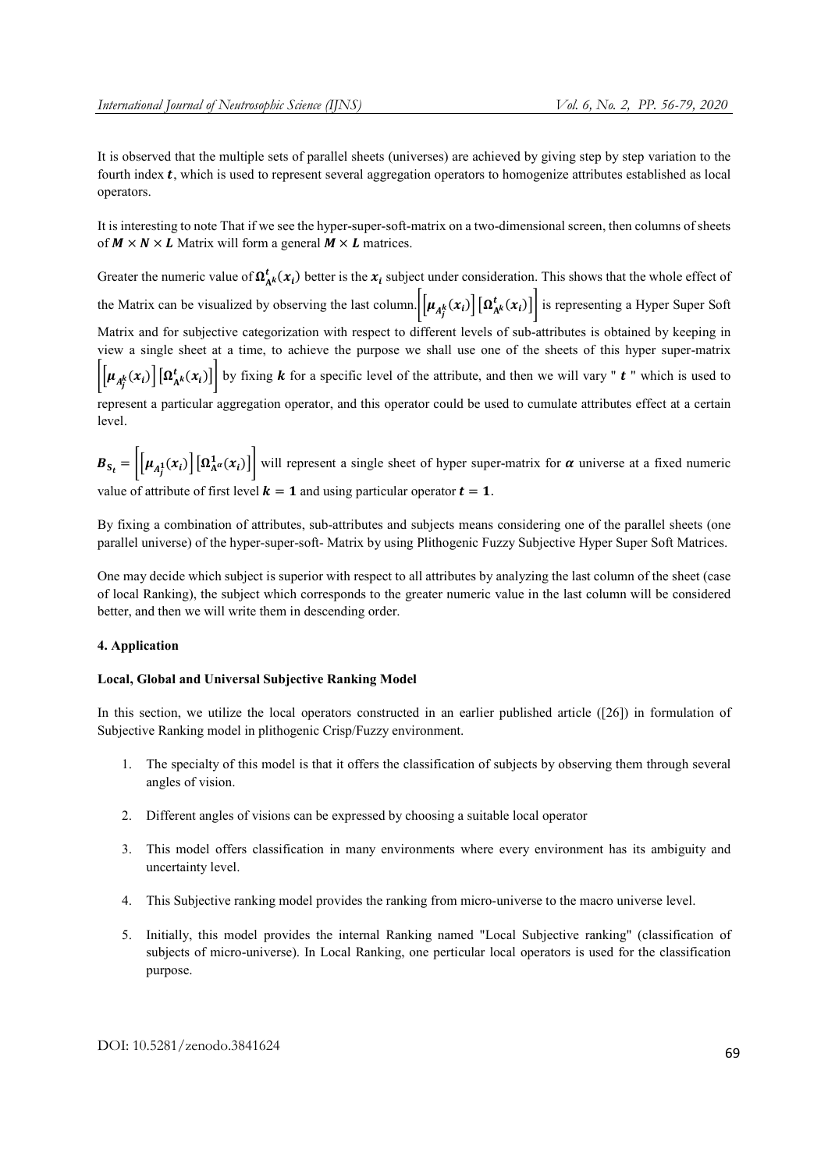It is observed that the multiple sets of parallel sheets (universes) are achieved by giving step by step variation to the fourth index  $t$ , which is used to represent several aggregation operators to homogenize attributes established as local operators.

It is interesting to note That if we see the hyper-super-soft-matrix on a two-dimensional screen, then columns of sheets of  $M \times N \times L$  Matrix will form a general  $M \times L$  matrices.

Greater the numeric value of  $\Omega^t_{A^k}(x_i)$  better is the  $x_i$  subject under consideration. This shows that the whole effect of the Matrix can be visualized by observing the last column.  $\left[\mu_{A_f^k}(x_i)\right] \left[\Omega_{A^k}^t(x_i)\right]$  is representing a Hyper Super Soft

Matrix and for subjective categorization with respect to different levels of sub-attributes is obtained by keeping in view a single sheet at a time, to achieve the purpose we shall use one of the sheets of this hyper super-matrix  $\left|\left[\mu_{A_f^k}(x_i)\right]\left[\Omega_{A^k}^t(x_i)\right]\right|$  by fixing **k** for a specific level of the attribute, and then we will vary " **t** " which is used to

represent a particular aggregation operator, and this operator could be used to cumulate attributes effect at a certain level.

 $B_{S_t} = \left| \left[ \mu_{A_t^1}(x_i) \right] \left[ \Omega_{A^{\alpha}}^1(x_i) \right] \right|$  will represent a single sheet of hyper super-matrix for  $\alpha$  universe at a fixed numeric value of attribute of first level  $k = 1$  and using particular operator  $t = 1$ .

By fixing a combination of attributes, sub-attributes and subjects means considering one of the parallel sheets (one parallel universe) of the hyper-super-soft- Matrix by using Plithogenic Fuzzy Subjective Hyper Super Soft Matrices.

One may decide which subject is superior with respect to all attributes by analyzing the last column of the sheet (case of local Ranking), the subject which corresponds to the greater numeric value in the last column will be considered better, and then we will write them in descending order.

# 4. Application

# Local, Global and Universal Subjective Ranking Model

In this section, we utilize the local operators constructed in an earlier published article ([26]) in formulation of Subjective Ranking model in plithogenic Crisp/Fuzzy environment.

- 1. The specialty of this model is that it offers the classification of subjects by observing them through several angles of vision.
- 2. Different angles of visions can be expressed by choosing a suitable local operator
- 3. This model offers classification in many environments where every environment has its ambiguity and uncertainty level.
- 4. This Subjective ranking model provides the ranking from micro-universe to the macro universe level.
- 5. Initially, this model provides the internal Ranking named "Local Subjective ranking" (classification of subjects of micro-universe). In Local Ranking, one perticular local operators is used for the classification purpose.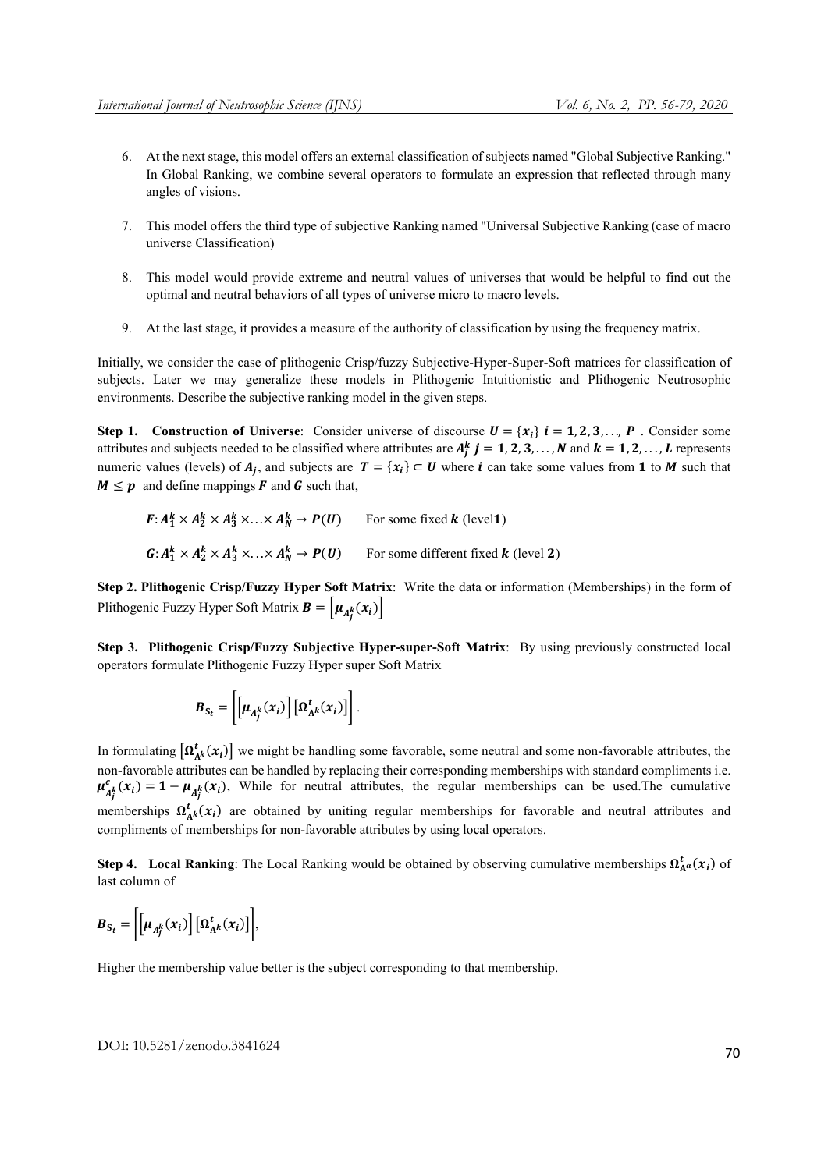- 6. At the next stage, this model offers an external classification of subjects named "Global Subjective Ranking." In Global Ranking, we combine several operators to formulate an expression that reflected through many angles of visions.
- 7. This model offers the third type of subjective Ranking named "Universal Subjective Ranking (case of macro universe Classification)
- 8. This model would provide extreme and neutral values of universes that would be helpful to find out the optimal and neutral behaviors of all types of universe micro to macro levels.
- 9. At the last stage, it provides a measure of the authority of classification by using the frequency matrix.

Initially, we consider the case of plithogenic Crisp/fuzzy Subjective-Hyper-Super-Soft matrices for classification of subjects. Later we may generalize these models in Plithogenic Intuitionistic and Plithogenic Neutrosophic environments. Describe the subjective ranking model in the given steps.

Step 1. Construction of Universe: Consider universe of discourse  $U = \{x_i\}$   $i = 1, 2, 3, \dots, P$ . Consider some attributes and subjects needed to be classified where attributes are  $A_j^k$   $j = 1, 2, 3, ..., N$  and  $k = 1, 2, ..., L$  represents numeric values (levels) of  $A_i$ , and subjects are  $T = \{x_i\} \subset U$  where *i* can take some values from 1 to *M* such that  $M \leq p$  and define mappings **F** and **G** such that,

$$
F: A_1^k \times A_2^k \times A_3^k \times \ldots \times A_N^k \to P(U)
$$
 For some fixed **k** (level1)  

$$
G: A_1^k \times A_2^k \times A_3^k \times \ldots \times A_N^k \to P(U)
$$
 For some different fixed **k** (level 2)

Step 2. Plithogenic Crisp/Fuzzy Hyper Soft Matrix: Write the data or information (Memberships) in the form of Plithogenic Fuzzy Hyper Soft Matrix  $\mathbf{B} = \left[ \mu_{A_j^k}(x_i) \right]$ 

Step 3. Plithogenic Crisp/Fuzzy Subjective Hyper-super-Soft Matrix: By using previously constructed local operators formulate Plithogenic Fuzzy Hyper super Soft Matrix

$$
\boldsymbol{B}_{S_t} = \left[ \left[ \boldsymbol{\mu}_{A_j^k}(\boldsymbol{x}_i) \right] \left[ \boldsymbol{\Omega}_{A^k}^t(\boldsymbol{x}_i) \right] \right].
$$

In formulating  $[\Omega_{A^k}^t(x_i)]$  we might be handling some favorable, some neutral and some non-favorable attributes, the non-favorable attributes can be handled by replacing their corresponding memberships with standard compliments i.e.  $\mu_{A_j^k}^c(x_i) = 1 - \mu_{A_j^k}(x_i)$ , While for neutral attributes, the regular memberships can be used. The cumulative memberships  $\Omega_{A^k}^t(x_i)$  are obtained by uniting regular memberships for favorable and neutral attributes and compliments of memberships for non-favorable attributes by using local operators.

Step 4. Local Ranking: The Local Ranking would be obtained by observing cumulative memberships  $\Omega_{A}^{t}(\mathbf{x}_i)$  of last column of

$$
\boldsymbol{B}_{S_t} = \left[ \left[ \mu_{A_j^k}(x_i) \right] \left[ \Omega_{A^k}^t(x_i) \right] \right],
$$

Higher the membership value better is the subject corresponding to that membership.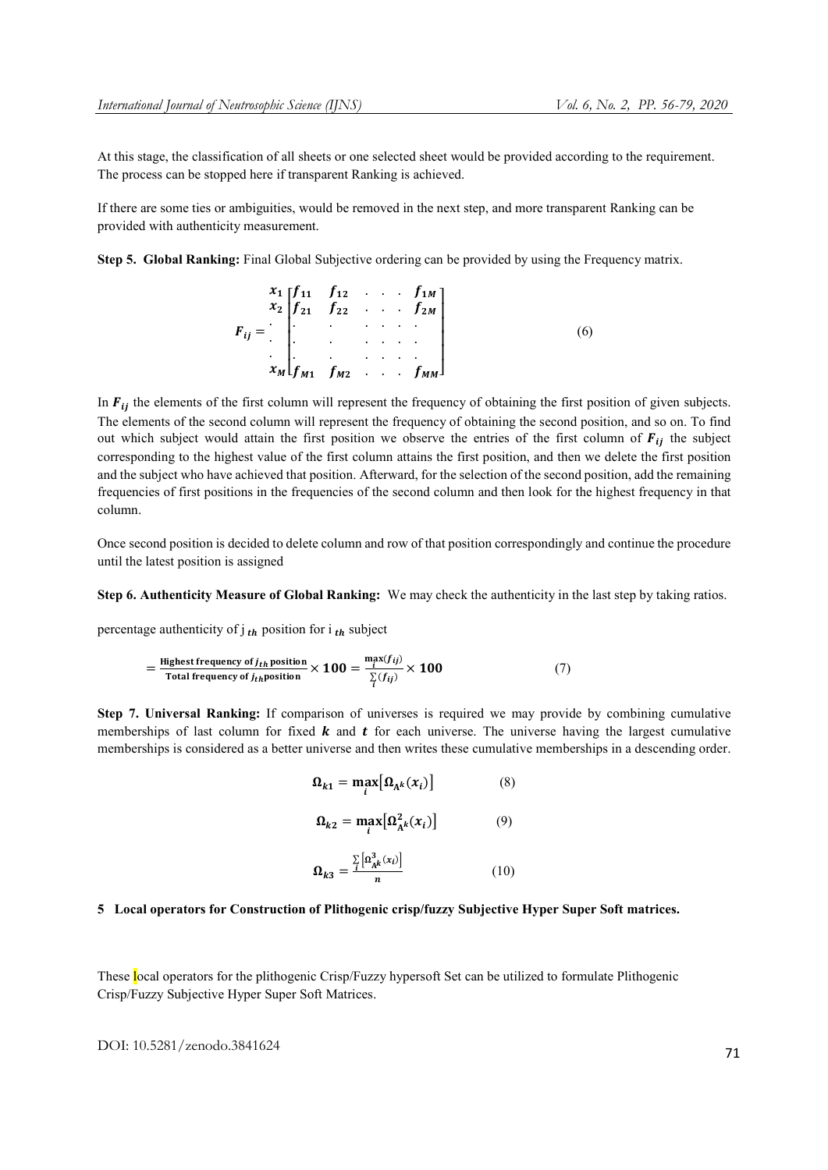At this stage, the classification of all sheets or one selected sheet would be provided according to the requirement. The process can be stopped here if transparent Ranking is achieved.

If there are some ties or ambiguities, would be removed in the next step, and more transparent Ranking can be provided with authenticity measurement.

Step 5. Global Ranking: Final Global Subjective ordering can be provided by using the Frequency matrix.

$$
F_{ij} = \begin{bmatrix} x_1 & f_{12} & \dots & f_{1M} \\ f_{21} & f_{22} & \dots & f_{2M} \\ \vdots & \vdots & \ddots & \vdots \\ f_{M1} & f_{M2} & \dots & f_{MM} \end{bmatrix}
$$
 (6)

In  $F_{ij}$  the elements of the first column will represent the frequency of obtaining the first position of given subjects. The elements of the second column will represent the frequency of obtaining the second position, and so on. To find out which subject would attain the first position we observe the entries of the first column of  $F_{ij}$  the subject corresponding to the highest value of the first column attains the first position, and then we delete the first position and the subject who have achieved that position. Afterward, for the selection of the second position, add the remaining frequencies of first positions in the frequencies of the second column and then look for the highest frequency in that column.

Once second position is decided to delete column and row of that position correspondingly and continue the procedure until the latest position is assigned

Step 6. Authenticity Measure of Global Ranking: We may check the authenticity in the last step by taking ratios.

percentage authenticity of  $j_{th}$  position for  $i_{th}$  subject

$$
= \frac{\text{Higher frequency of } j_{th} \text{ position}}{\text{Total frequency of } j_{th} \text{position}} \times 100 = \frac{\max_j(f_{ij})}{\sum_i(f_{ij})} \times 100 \tag{7}
$$

Step 7. Universal Ranking: If comparison of universes is required we may provide by combining cumulative memberships of last column for fixed  $k$  and  $t$  for each universe. The universe having the largest cumulative memberships is considered as a better universe and then writes these cumulative memberships in a descending order.

$$
\Omega_{k1} = \max_{i} [\Omega_{A^k}(x_i)] \tag{8}
$$

$$
\Omega_{k2} = \max_{i} [\Omega_{A^k}^2(x_i)] \tag{9}
$$

$$
\Omega_{k3} = \frac{\sum_{i} \left[ \Omega_{A^k}^3(x_i) \right]}{n} \tag{10}
$$

# 5 Local operators for Construction of Plithogenic crisp/fuzzy Subjective Hyper Super Soft matrices.

These local operators for the plithogenic Crisp/Fuzzy hypersoft Set can be utilized to formulate Plithogenic Crisp/Fuzzy Subjective Hyper Super Soft Matrices.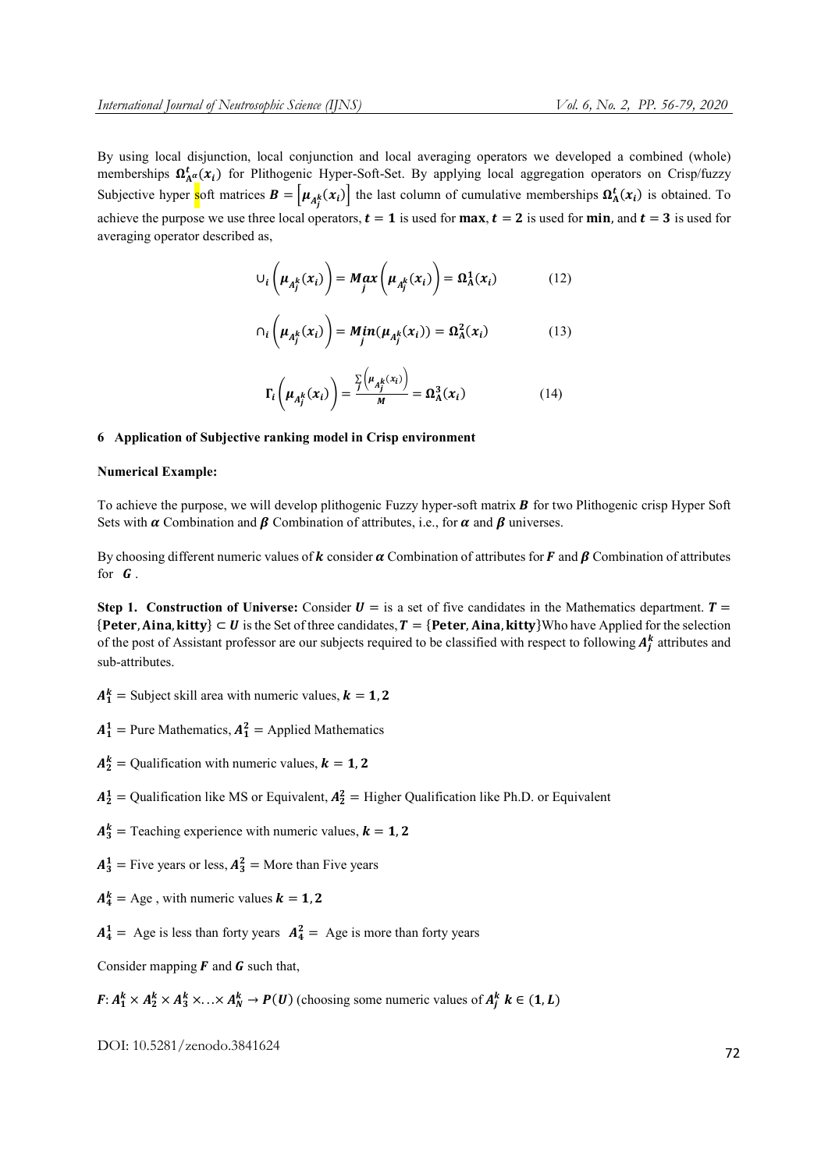By using local disjunction, local conjunction and local averaging operators we developed a combined (whole) memberships  $\Omega_{A^{\alpha}}^{t}(x_i)$  for Plithogenic Hyper-Soft-Set. By applying local aggregation operators on Crisp/fuzzy Subjective hyper soft matrices  $B = \left[\mu_{A_j^k}(x_i)\right]$  the last column of cumulative memberships  $\Omega_A^t(x_i)$  is obtained. To achieve the purpose we use three local operators,  $t = 1$  is used for max,  $t = 2$  is used for min, and  $t = 3$  is used for averaging operator described as,

$$
\cup_{i} \left( \mu_{A_{j}^{k}}(x_{i}) \right) = M_{j} \alpha x \left( \mu_{A_{j}^{k}}(x_{i}) \right) = \Omega_{A}^{1}(x_{i}) \qquad (12)
$$

$$
\cap_i \left( \mu_{A_j^k}(x_i) \right) = Min(\mu_{A_j^k}(x_i)) = \Omega_A^2(x_i) \tag{13}
$$

$$
\Gamma_i\left(\mu_{A_j^k}(x_i)\right) = \frac{\sum\limits_j \left(\mu_{A_j^k}(x_i)\right)}{M} = \Omega_A^3(x_i)
$$
\n(14)

# 6 Application of Subjective ranking model in Crisp environment

#### Numerical Example:

To achieve the purpose, we will develop plithogenic Fuzzy hyper-soft matrix  $\bf{B}$  for two Plithogenic crisp Hyper Soft Sets with  $\alpha$  Combination and  $\beta$  Combination of attributes, i.e., for  $\alpha$  and  $\beta$  universes.

By choosing different numeric values of **k** consider  $\alpha$  Combination of attributes for **F** and **B** Combination of attributes for  $G$ .

Step 1. Construction of Universe: Consider  $U =$  is a set of five candidates in the Mathematics department.  $T =$  ${Peter, Aina, kitty} \subset U$  is the Set of three candidates,  $T = {Peter, Aina, kitty}$ Who have Applied for the selection of the post of Assistant professor are our subjects required to be classified with respect to following  $A_j^k$  attributes and sub-attributes.

 $A_1^k =$  Subject skill area with numeric values,  $k = 1, 2$ 

 $A_1^1$  = Pure Mathematics,  $A_1^2$  = Applied Mathematics

- $A_2^k =$  Qualification with numeric values,  $k = 1, 2$
- $A_2^1$  = Qualification like MS or Equivalent,  $A_2^2$  = Higher Qualification like Ph.D. or Equivalent
- $A_3^k$  = Teaching experience with numeric values,  $k = 1, 2$
- $A_3^1$  = Five years or less,  $A_3^2$  = More than Five years
- $A_4^k =$  Age, with numeric values  $k = 1, 2$

 $A_4^1$  = Age is less than forty years  $A_4^2$  = Age is more than forty years

Consider mapping  $\bf{F}$  and  $\bf{G}$  such that,

 $F: A_1^k \times A_2^k \times A_3^k \times \ldots \times A_N^k \to P(U)$  (choosing some numeric values of  $A_j^k$   $k \in (1, L)$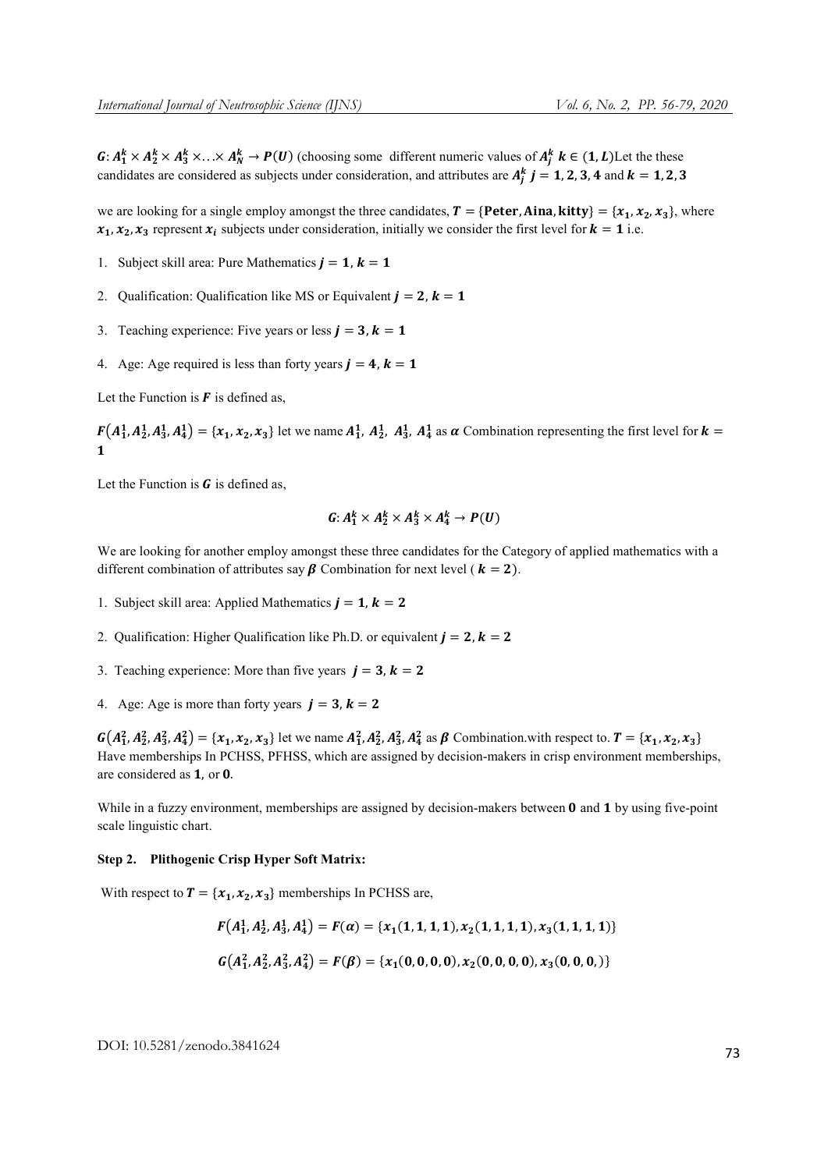$G: A_1^k \times A_2^k \times A_3^k \times \ldots \times A_N^k \to P(U)$  (choosing some different numeric values of  $A_j^k$   $k \in (1, L)$  Let the these candidates are considered as subjects under consideration, and attributes are  $A_j^k$   $j = 1, 2, 3, 4$  and  $k = 1, 2, 3$ 

we are looking for a single employ amongst the three candidates,  $T = {Peter, Aina, kitty} = {x_1, x_2, x_3}$ , where  $x_1, x_2, x_3$  represent  $x_i$  subjects under consideration, initially we consider the first level for  $k = 1$  i.e.

- 1. Subject skill area: Pure Mathematics  $j = 1$ ,  $k = 1$
- 2. Qualification: Qualification like MS or Equivalent  $j = 2$ ,  $k = 1$
- 3. Teaching experience: Five years or less  $j = 3$ ,  $k = 1$
- 4. Age: Age required is less than forty years  $j = 4$ ,  $k = 1$

Let the Function is  $\bf{F}$  is defined as,

 $F(A_1^1, A_2^1, A_3^1, A_4^1) = \{x_1, x_2, x_3\}$  let we name  $A_1^1, A_2^1, A_3^1, A_4^1$  as  $\alpha$  Combination representing the first level for  $k =$  $\mathbf{1}$ 

Let the Function is  $\boldsymbol{G}$  is defined as,

$$
G: A_1^k \times A_2^k \times A_3^k \times A_4^k \to P(U)
$$

We are looking for another employ amongst these three candidates for the Category of applied mathematics with a different combination of attributes say  $\beta$  Combination for next level ( $k = 2$ ).

- 1. Subject skill area: Applied Mathematics  $j = 1, k = 2$
- 2. Qualification: Higher Qualification like Ph.D. or equivalent  $j = 2$ ,  $k = 2$
- 3. Teaching experience: More than five years  $j = 3$ ,  $k = 2$
- 4. Age: Age is more than forty years  $j = 3$ ,  $k = 2$

 $G(A_1^2, A_2^2, A_3^2, A_4^2) = \{x_1, x_2, x_3\}$  let we name  $A_1^2, A_2^2, A_3^2, A_4^2$  as  $\beta$  Combination.with respect to.  $T = \{x_1, x_2, x_3\}$ Have memberships In PCHSS, PFHSS, which are assigned by decision-makers in crisp environment memberships, are considered as  $1$ , or  $0$ .

While in a fuzzy environment, memberships are assigned by decision-makers between  $\bf{0}$  and  $\bf{1}$  by using five-point scale linguistic chart.

# Step 2. Plithogenic Crisp Hyper Soft Matrix:

With respect to  $T = \{x_1, x_2, x_3\}$  memberships In PCHSS are,

$$
F(A_1^1, A_2^1, A_3^1, A_4^1) = F(\alpha) = \{x_1(1, 1, 1, 1), x_2(1, 1, 1, 1), x_3(1, 1, 1, 1)\}
$$
  

$$
G(A_1^2, A_2^2, A_3^2, A_4^2) = F(\beta) = \{x_1(0, 0, 0, 0), x_2(0, 0, 0, 0), x_3(0, 0, 0, 0)\}
$$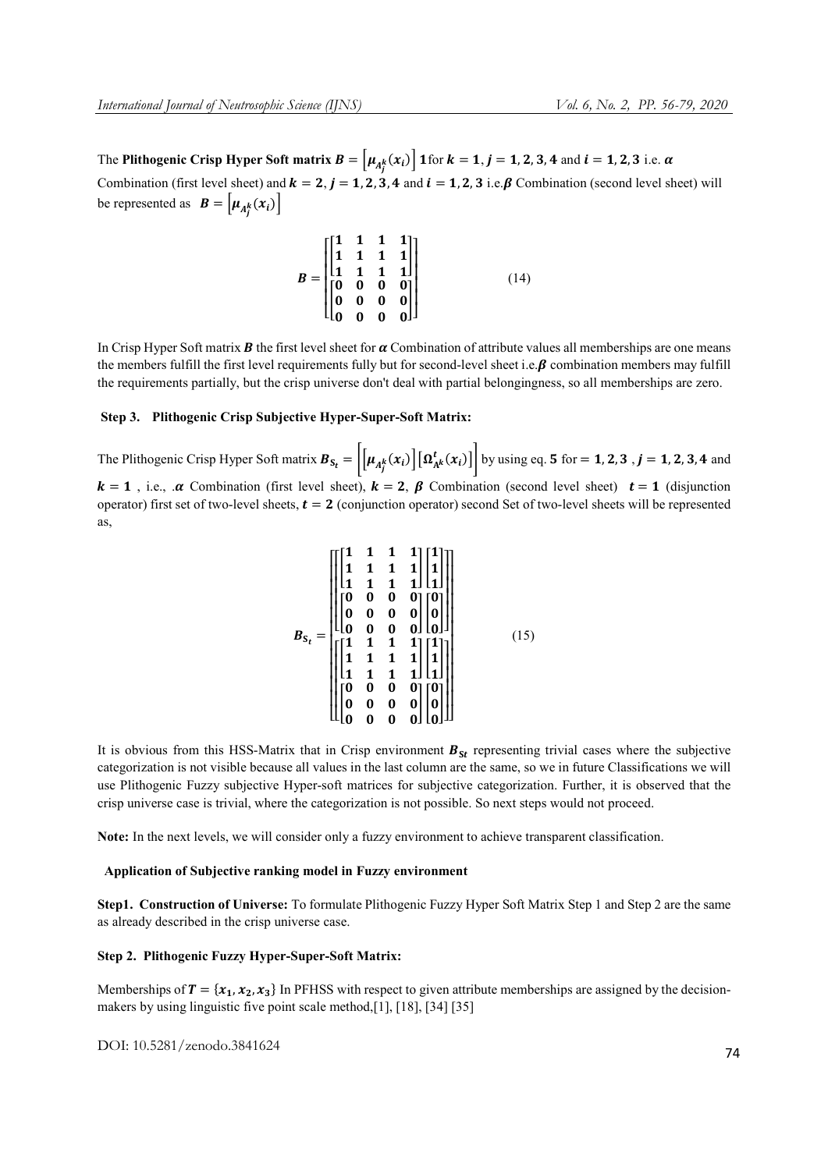The Plithogenic Crisp Hyper Soft matrix  $B = \left[ \mu_{A_j^k}(x_i) \right]$  1 for  $k = 1, j = 1, 2, 3, 4$  and  $i = 1, 2, 3$  i.e.  $\alpha$ Combination (first level sheet) and  $k = 2$ ,  $j = 1, 2, 3, 4$  and  $i = 1, 2, 3$  i.e.  $\beta$  Combination (second level sheet) will be represented as  $\mathbf{B} = [\mu_{A_j^k}(x_i)]$ 

$$
B = \begin{bmatrix} 1 & 1 & 1 & 1 \\ 1 & 1 & 1 & 1 \\ 1 & 1 & 1 & 1 \\ 0 & 0 & 0 & 0 \\ 0 & 0 & 0 & 0 \\ 0 & 0 & 0 & 0 \end{bmatrix}
$$
 (14)

In Crisp Hyper Soft matrix **B** the first level sheet for  $\alpha$  Combination of attribute values all memberships are one means the members fulfill the first level requirements fully but for second-level sheet i.e.  $\beta$  combination members may fulfill the requirements partially, but the crisp universe don't deal with partial belongingness, so all memberships are zero.

### Step 3. Plithogenic Crisp Subjective Hyper-Super-Soft Matrix:

The Plithogenic Crisp Hyper Soft matrix  $B_{S_t} = \left| \left[ \mu_{A_f^k}(x_i) \right] \left[ \Omega_{A^k}^t(x_i) \right] \right|$  by using eq. 5 for = 1, 2, 3 , j = 1, 2, 3, 4 and  $k = 1$ , i.e.,  $\alpha$  Combination (first level sheet),  $k = 2$ ,  $\beta$  Combination (second level sheet)  $t = 1$  (disjunction operator) first set of two-level sheets,  $t = 2$  (conjunction operator) second Set of two-level sheets will be represented as,

$$
B_{S_t} = \begin{bmatrix} \begin{bmatrix} 1 & 1 & 1 & 1 \\ 1 & 1 & 1 & 1 \\ 1 & 1 & 1 & 1 \\ 0 & 0 & 0 & 0 \\ 0 & 0 & 0 & 0 \\ 0 & 0 & 0 & 0 \\ 0 & 0 & 0 & 0 \end{bmatrix} \begin{bmatrix} 1 \\ 1 \\ 0 \\ 0 \\ 0 \end{bmatrix} \\ \begin{bmatrix} 1 & 1 & 1 & 1 \\ 1 & 1 & 1 & 1 \\ 1 & 1 & 1 & 1 \\ 1 & 1 & 1 & 1 \\ 0 & 0 & 0 & 0 \\ 0 & 0 & 0 & 0 \\ 0 & 0 & 0 & 0 \end{bmatrix} \begin{bmatrix} 0 \\ 0 \\ 0 \\ 0 \\ 0 \end{bmatrix} \end{bmatrix}
$$
 (15)

It is obvious from this HSS-Matrix that in Crisp environment  $B_{St}$  representing trivial cases where the subjective categorization is not visible because all values in the last column are the same, so we in future Classifications we will use Plithogenic Fuzzy subjective Hyper-soft matrices for subjective categorization. Further, it is observed that the crisp universe case is trivial, where the categorization is not possible. So next steps would not proceed.

Note: In the next levels, we will consider only a fuzzy environment to achieve transparent classification.

#### Application of Subjective ranking model in Fuzzy environment

Step1. Construction of Universe: To formulate Plithogenic Fuzzy Hyper Soft Matrix Step 1 and Step 2 are the same as already described in the crisp universe case.

# Step 2. Plithogenic Fuzzy Hyper-Super-Soft Matrix:

Memberships of  $T = \{x_1, x_2, x_3\}$  In PFHSS with respect to given attribute memberships are assigned by the decisionmakers by using linguistic five point scale method,[1], [18], [34] [35]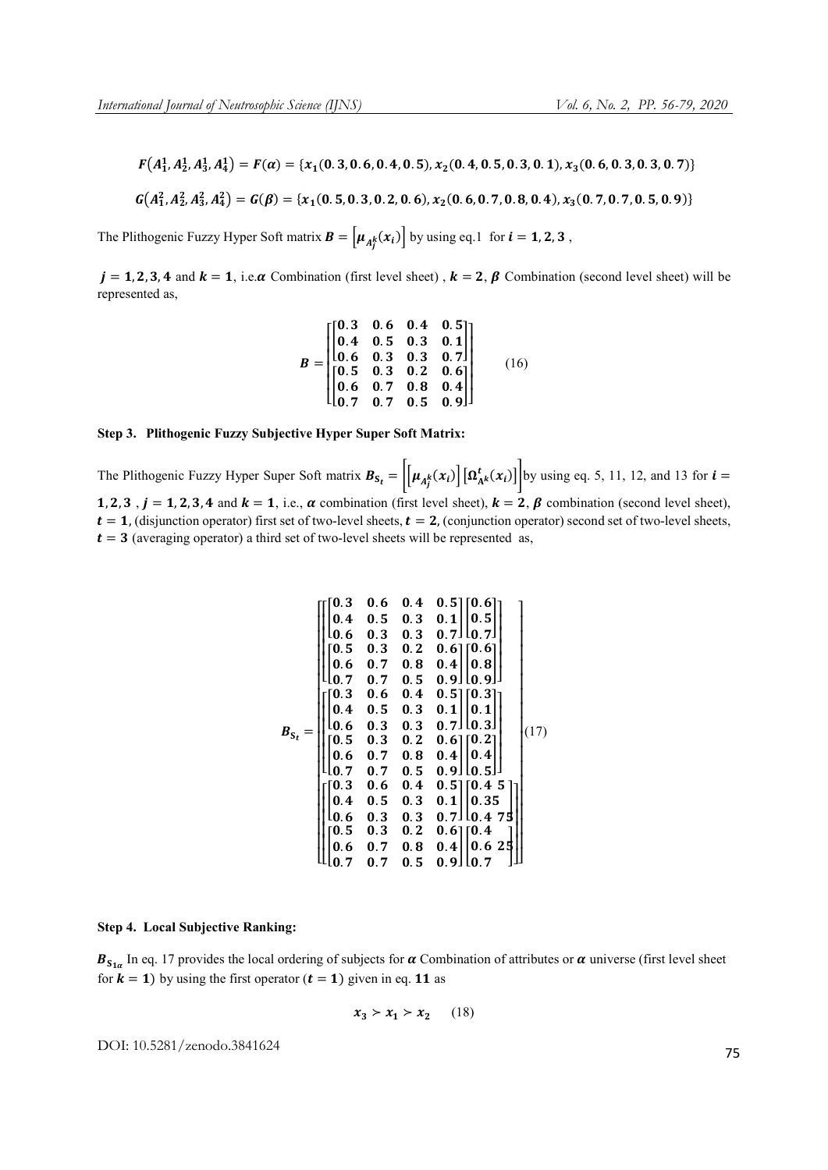$$
F(A_1^1, A_2^1, A_3^1, A_4^1) = F(\alpha) = \{x_1(0.3, 0.6, 0.4, 0.5), x_2(0.4, 0.5, 0.3, 0.1), x_3(0.6, 0.3, 0.3, 0.7)\}
$$

$$
G(A_1^2, A_2^2, A_3^2, A_4^2) = G(\beta) = \{x_1(0.5, 0.3, 0.2, 0.6), x_2(0.6, 0.7, 0.8, 0.4), x_3(0.7, 0.7, 0.5, 0.9)\}
$$

The Plithogenic Fuzzy Hyper Soft matrix  $\mathbf{B} = \left[ \mu_{A_j^k}(x_i) \right]$  by using eq.1 for  $i = 1, 2, 3$ ,

 $j = 1, 2, 3, 4$  and  $k = 1$ , i.e.  $\alpha$  Combination (first level sheet),  $k = 2$ ,  $\beta$  Combination (second level sheet) will be represented as,

$$
B = \begin{bmatrix} 0.3 & 0.6 & 0.4 & 0.5 \\ 0.4 & 0.5 & 0.3 & 0.1 \\ 0.6 & 0.3 & 0.3 & 0.7 \\ 0.5 & 0.3 & 0.2 & 0.6 \\ 0.6 & 0.7 & 0.8 & 0.4 \\ 0.7 & 0.7 & 0.5 & 0.9 \end{bmatrix}
$$
 (16)

# Step 3. Plithogenic Fuzzy Subjective Hyper Super Soft Matrix:

The Plithogenic Fuzzy Hyper Super Soft matrix  $B_{S_t} = \left| \left[ \mu_{A_j^k}(x_i) \right] \left[ \Omega_{A^k}^t(x_i) \right] \right|$  by using eq. 5, 11, 12, and 13 for  $t =$ 1, 2, 3,  $j = 1, 2, 3, 4$  and  $k = 1$ , i.e.,  $\alpha$  combination (first level sheet),  $k = 2$ ,  $\beta$  combination (second level sheet),  $t = 1$ , (disjunction operator) first set of two-level sheets,  $t = 2$ , (conjunction operator) second set of two-level sheets,  $t = 3$  (averaging operator) a third set of two-level sheets will be represented as,

$$
B_{S_t} = \left[\begin{bmatrix} 0.3 & 0.6 & 0.4 & 0.5 \\ 0.4 & 0.5 & 0.3 & 0.1 \\ 0.6 & 0.3 & 0.3 & 0.7 \\ 0.05 & 0.3 & 0.2 & 0.6 \\ 0.6 & 0.7 & 0.8 & 0.4 \\ 0.6 & 0.7 & 0.8 & 0.4 \\ 0.7 & 0.7 & 0.5 & 0.9 \\ 0.4 & 0.5 & 0.3 & 0.1 \\ 0.6 & 0.3 & 0.3 & 0.7 \end{bmatrix} \begin{bmatrix} 0.6 \\ 0.5 \\ 0.8 \\ 0.9 \\ 0.9 \end{bmatrix}\right]
$$

$$
B_{S_t} = \left[\begin{bmatrix} 0.3 & 0.6 & 0.4 & 0.5 \\ 0.4 & 0.5 & 0.3 & 0.1 \\ 0.6 & 0.3 & 0.2 & 0.6 \\ 0.7 & 0.7 & 0.5 & 0.9 \\ 0.6 & 0.7 & 0.5 & 0.9 \end{bmatrix} \begin{bmatrix} 0.2 \\ 0.4 \\ 0.5 \\ 0.5 \end{bmatrix}\right]
$$

$$
\left[\begin{bmatrix} 0.3 & 0.6 & 0.4 & 0.5 \\ 0.4 & 0.5 & 0.3 & 0.1 \\ 0.6 & 0.3 & 0.3 & 0.7 \\ 0.6 & 0.3 & 0.2 & 0.6 \\ 0.6 & 0.7 & 0.8 & 0.4 \end{bmatrix} \begin{bmatrix} 0.45 \\ 0.35 \\ 0.625 \\ 0.625 \\ 0.7 \end{bmatrix}\right]
$$

#### Step 4. Local Subjective Ranking:

 $B_{S_{1\alpha}}$  In eq. 17 provides the local ordering of subjects for  $\alpha$  Combination of attributes or  $\alpha$  universe (first level sheet for  $k = 1$ ) by using the first operator  $(t = 1)$  given in eq. 11 as

$$
x_3 > x_1 > x_2 \qquad (18)
$$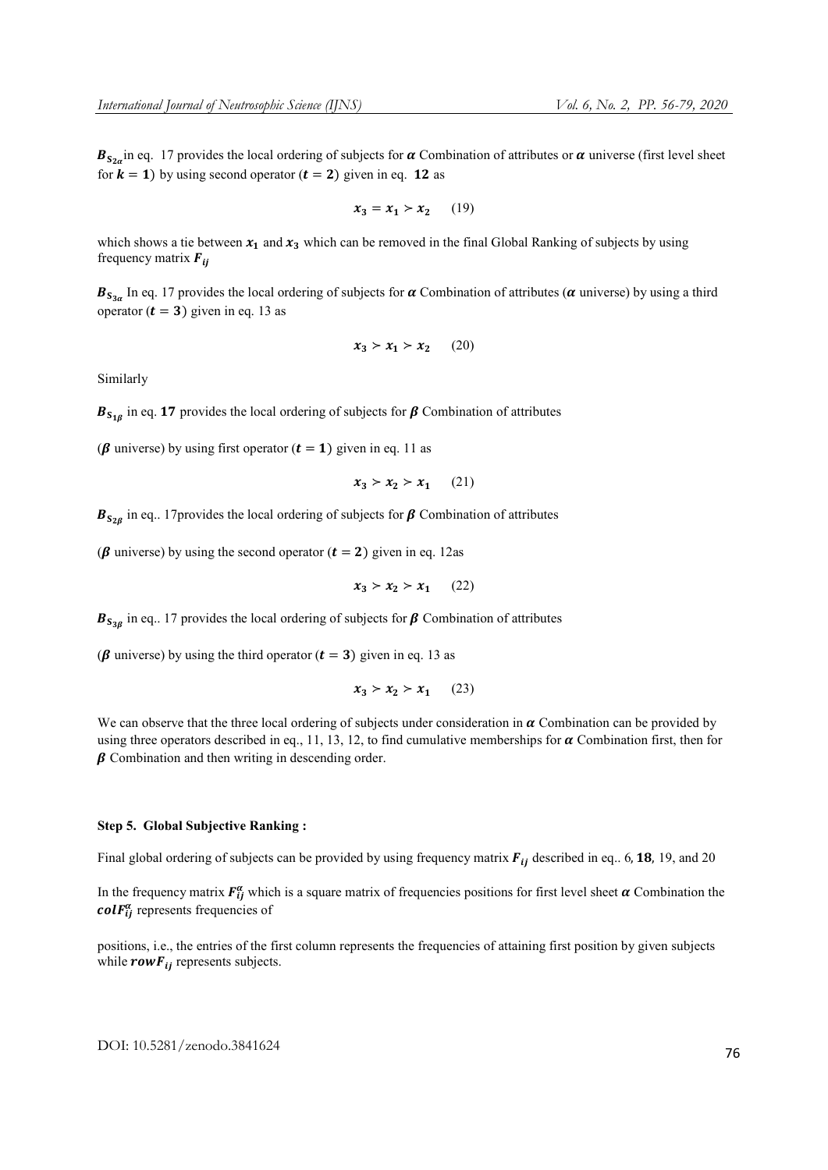$B_{S_{2\alpha}}$  in eq. 17 provides the local ordering of subjects for  $\alpha$  Combination of attributes or  $\alpha$  universe (first level sheet for  $k = 1$ ) by using second operator  $(t = 2)$  given in eq. 12 as

$$
x_3 = x_1 > x_2 \qquad (19)
$$

which shows a tie between  $x_1$  and  $x_3$  which can be removed in the final Global Ranking of subjects by using frequency matrix  $\mathbf{F}_{ii}$ 

 $B_{S_{3\alpha}}$  In eq. 17 provides the local ordering of subjects for  $\alpha$  Combination of attributes ( $\alpha$  universe) by using a third operator ( $t = 3$ ) given in eq. 13 as

$$
x_3 > x_1 > x_2 \qquad (20)
$$

Similarly

 $B_{S_{1\beta}}$  in eq. 17 provides the local ordering of subjects for  $\beta$  Combination of attributes

( $\beta$  universe) by using first operator ( $t = 1$ ) given in eq. 11 as

$$
x_3 \succ x_2 \succ x_1 \qquad (21)
$$

 $B_{S_{2R}}$  in eq.. 17 provides the local ordering of subjects for  $\beta$  Combination of attributes

( $\beta$  universe) by using the second operator ( $t = 2$ ) given in eq. 12as

$$
x_3 > x_2 > x_1 \qquad (22)
$$

 $B_{S_{38}}$  in eq.. 17 provides the local ordering of subjects for  $\beta$  Combination of attributes

( $\beta$  universe) by using the third operator ( $t = 3$ ) given in eq. 13 as

$$
x_3 \succ x_2 \succ x_1 \qquad (23)
$$

We can observe that the three local ordering of subjects under consideration in  $\alpha$  Combination can be provided by using three operators described in eq., 11, 13, 12, to find cumulative memberships for  $\alpha$  Combination first, then for  $\beta$  Combination and then writing in descending order.

# Step 5. Global Subjective Ranking :

Final global ordering of subjects can be provided by using frequency matrix  $F_{ii}$  described in eq.. 6, 18, 19, and 20

In the frequency matrix  $F_{ij}^{\alpha}$  which is a square matrix of frequencies positions for first level sheet  $\alpha$  Combination the  $colF_{ij}^{\alpha}$  represents frequencies of

positions, i.e., the entries of the first column represents the frequencies of attaining first position by given subjects while  $rowF_{ij}$  represents subjects.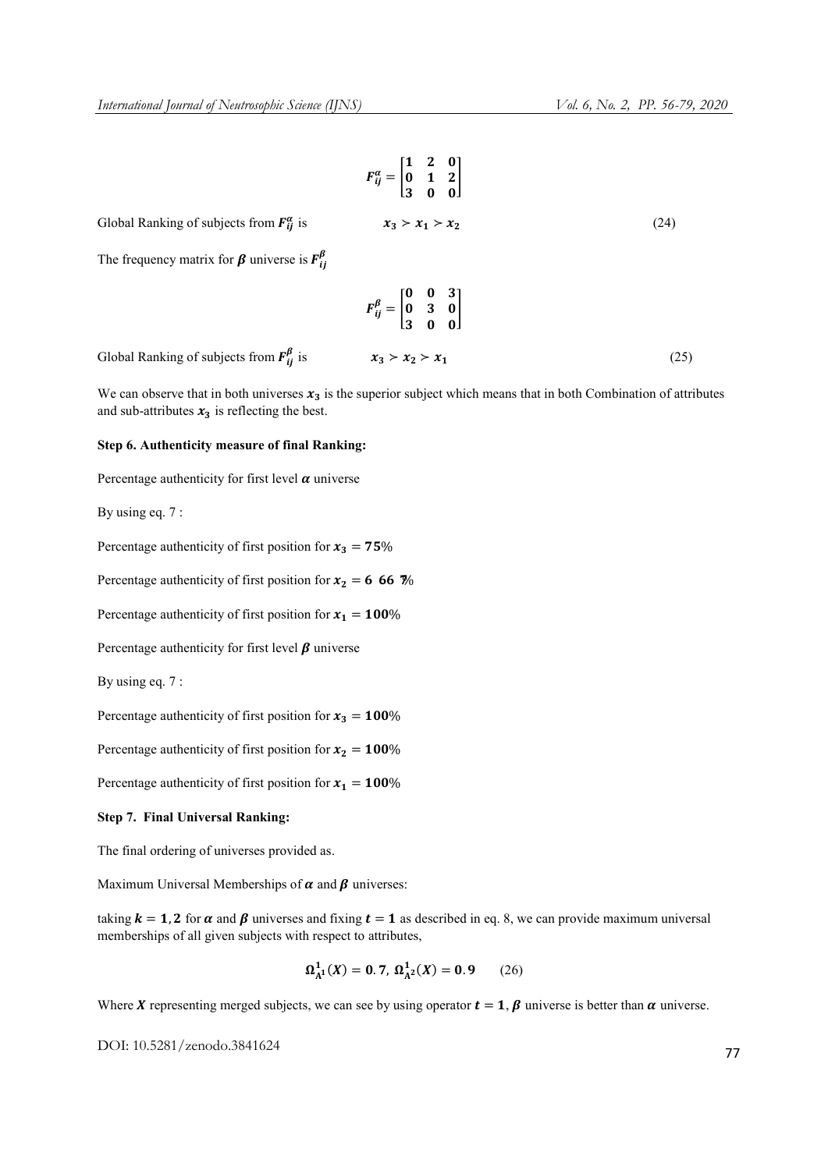$$
F_{ij}^{\alpha} = \begin{bmatrix} 1 & 2 & 0 \\ 0 & 1 & 2 \\ 3 & 0 & 0 \end{bmatrix}
$$
  
Global Ranking of subjects from  $F_{ij}^{\alpha}$  is  $x_3 > x_1 > x_2$  (24)  
The frequency matrix for  $\beta$  universe is  $F_{ij}^{\beta}$   

$$
F_{ij}^{\beta} = \begin{bmatrix} 0 & 0 & 3 \\ 0 & 3 & 0 \\ 3 & 0 & 0 \end{bmatrix}
$$

Global Ranking of subjects from  $\mathbf{F}_{ii}^{\beta}$  is  $x_3 > x_2 > x_1$  (25)

We can observe that in both universes  $x_3$  is the superior subject which means that in both Combination of attributes and sub-attributes  $x_3$  is reflecting the best.

# Step 6. Authenticity measure of final Ranking:

Percentage authenticity for first level  $\alpha$  universe

By using eq. 7 :

Percentage authenticity of first position for  $x_3 = 75\%$ 

Percentage authenticity of first position for  $x_2 = 66.67\%$ 

Percentage authenticity of first position for  $x_1 = 100\%$ 

Percentage authenticity for first level  $\beta$  universe

By using eq. 7 :

Percentage authenticity of first position for  $x_3 = 100\%$ 

Percentage authenticity of first position for  $x_2 = 100\%$ 

Percentage authenticity of first position for  $x_1 = 100\%$ 

#### Step 7. Final Universal Ranking:

The final ordering of universes provided as.

Maximum Universal Memberships of  $\alpha$  and  $\beta$  universes:

taking  $k = 1, 2$  for  $\alpha$  and  $\beta$  universes and fixing  $t = 1$  as described in eq. 8, we can provide maximum universal memberships of all given subjects with respect to attributes,

$$
\Omega_{A^1}^1(X) = 0.7, \ \Omega_{A^2}^1(X) = 0.9 \tag{26}
$$

Where X representing merged subjects, we can see by using operator  $t = 1$ ,  $\beta$  universe is better than  $\alpha$  universe.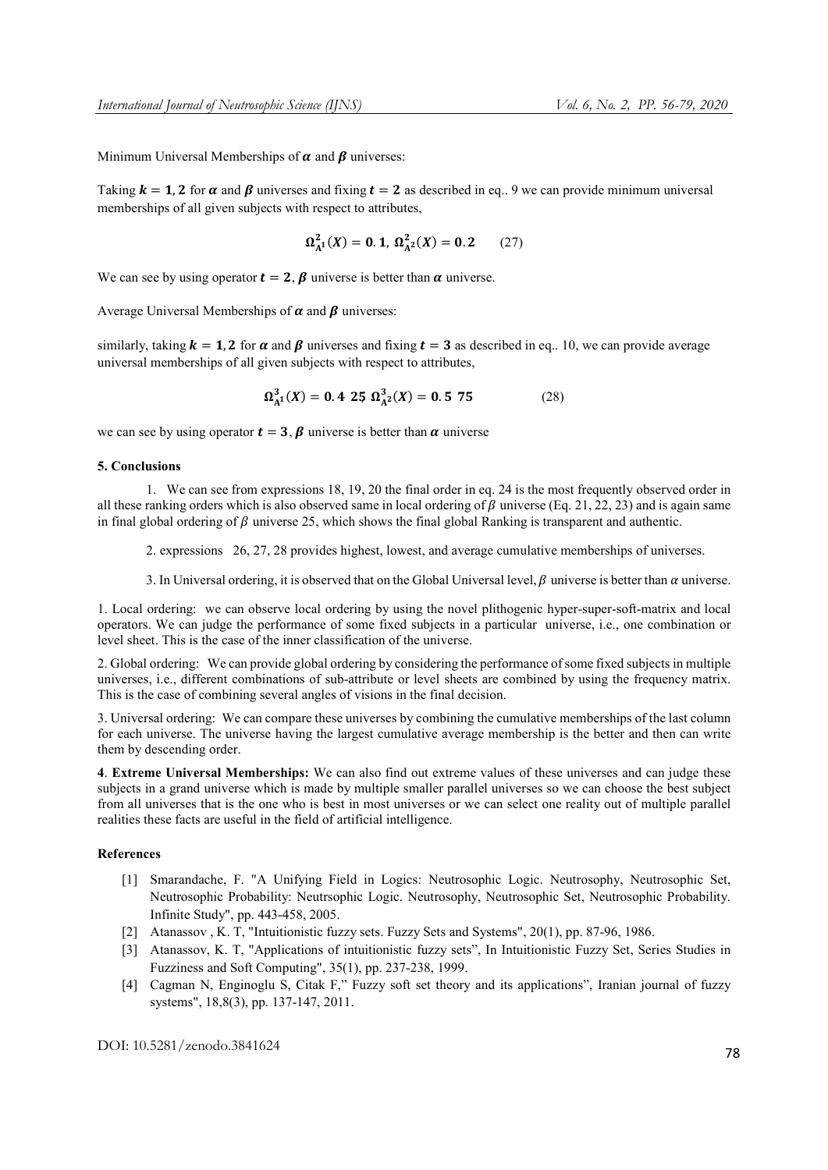Minimum Universal Memberships of  $\alpha$  and  $\beta$  universes:

Taking  $k = 1, 2$  for  $\alpha$  and  $\beta$  universes and fixing  $t = 2$  as described in eq.. 9 we can provide minimum universal memberships of all given subjects with respect to attributes,

$$
\Omega_{A^1}^2(X) = 0.1, \ \Omega_{A^2}^2(X) = 0.2 \tag{27}
$$

We can see by using operator  $t = 2$ ,  $\beta$  universe is better than  $\alpha$  universe.

Average Universal Memberships of  $\alpha$  and  $\beta$  universes:

similarly, taking  $k = 1$ , 2 for  $\alpha$  and  $\beta$  universes and fixing  $t = 3$  as described in eq.. 10, we can provide average universal memberships of all given subjects with respect to attributes,

$$
\Omega_{A^1}^3(X) = 0.425, \ \Omega_{A^2}^3(X) = 0.575 \tag{28}
$$

we can see by using operator  $t = 3$ ,  $\beta$  universe is better than  $\alpha$  universe

#### 5. Conclusions

1. We can see from expressions 18, 19, 20 the final order in eq. 24 is the most frequently observed order in all these ranking orders which is also observed same in local ordering of  $\beta$  universe (Eq. 21, 22, 23) and is again same in final global ordering of  $\beta$  universe 25, which shows the final global Ranking is transparent and authentic.

2. expressions 26, 27, 28 provides highest, lowest, and average cumulative memberships of universes.

3. In Universal ordering, it is observed that on the Global Universal level,  $\beta$  universe is better than  $\alpha$  universe.

1. Local ordering: we can observe local ordering by using the novel plithogenic hyper-super-soft-matrix and local operators. We can judge the performance of some fixed subjects in a particular universe, i.e., one combination or level sheet. This is the case of the inner classification of the universe.

2. Global ordering: We can provide global ordering by considering the performance of some fixed subjects in multiple universes, i.e., different combinations of sub-attribute or level sheets are combined by using the frequency matrix. This is the case of combining several angles of visions in the final decision.

3. Universal ordering: We can compare these universes by combining the cumulative memberships of the last column for each universe. The universe having the largest cumulative average membership is the better and then can write them by descending order.

4. Extreme Universal Memberships: We can also find out extreme values of these universes and can judge these subjects in a grand universe which is made by multiple smaller parallel universes so we can choose the best subject from all universes that is the one who is best in most universes or we can select one reality out of multiple parallel realities these facts are useful in the field of artificial intelligence.

# References

- [1] Smarandache, F. "A Unifying Field in Logics: Neutrosophic Logic. Neutrosophy, Neutrosophic Set, Neutrosophic Probability: Neutrsophic Logic. Neutrosophy, Neutrosophic Set, Neutrosophic Probability. Infinite Study", pp. 443-458, 2005.
- [2] Atanassov , K. T, "Intuitionistic fuzzy sets. Fuzzy Sets and Systems", 20(1), pp. 87-96, 1986.
- [3] Atanassov, K. T, "Applications of intuitionistic fuzzy sets", In Intuitionistic Fuzzy Set, Series Studies in Fuzziness and Soft Computing", 35(1), pp. 237-238, 1999.
- [4] Cagman N, Enginoglu S, Citak F," Fuzzy soft set theory and its applications", Iranian journal of fuzzy systems", 18,8(3), pp. 137-147, 2011.